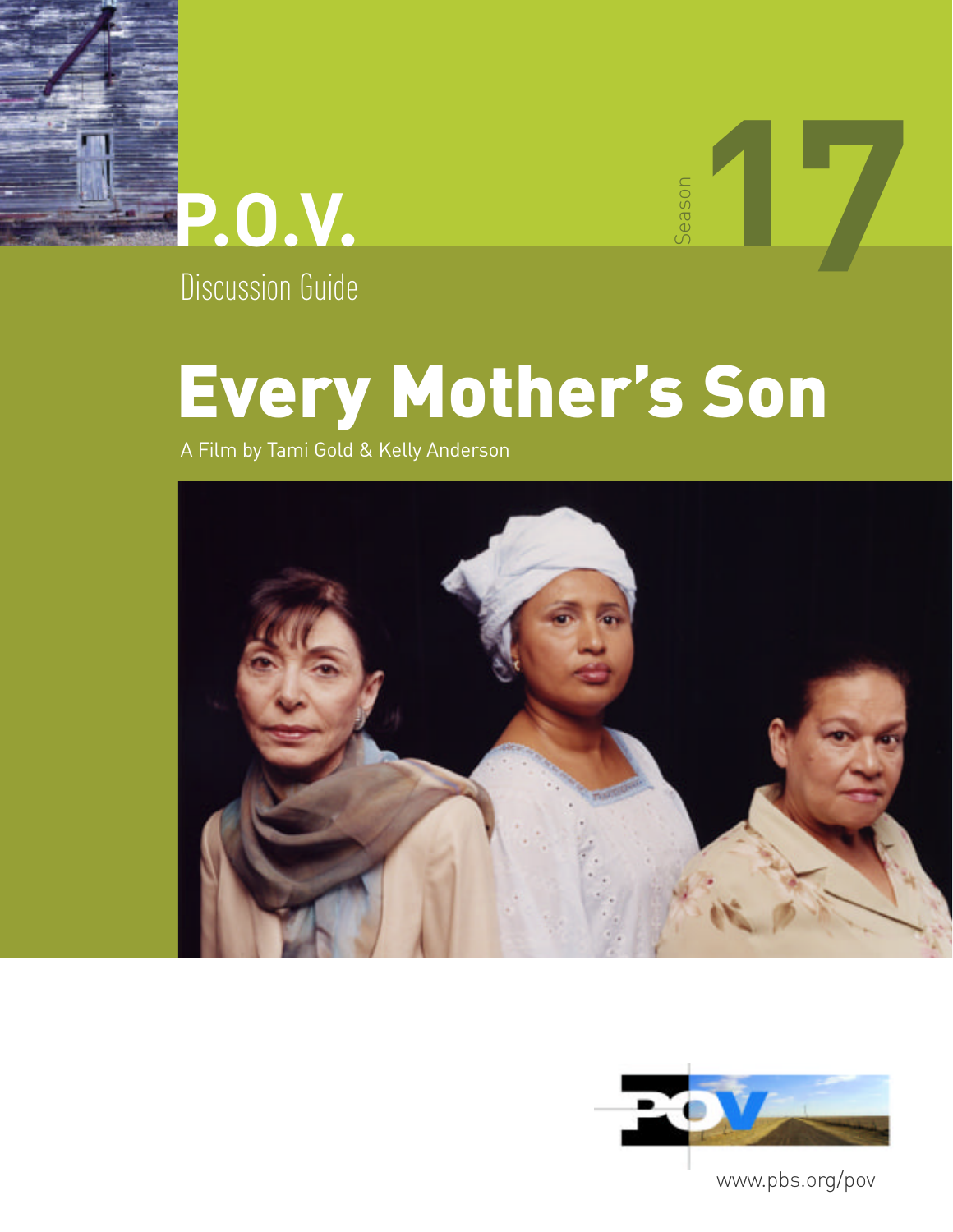

Season **17**

Discussion Guide

## Every Mother's Son

A Film by Tami Gold & Kelly Anderson





www.pbs.org/pov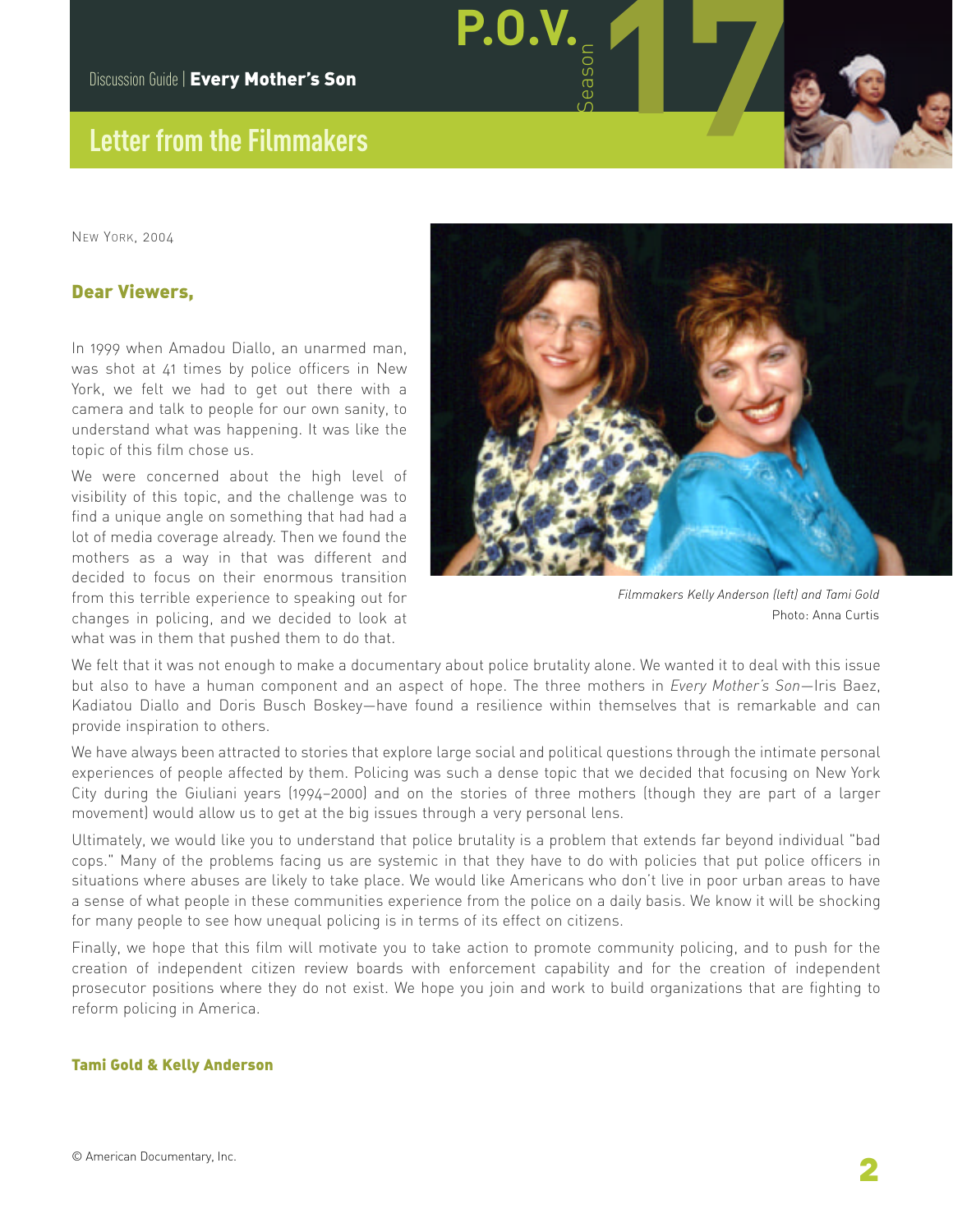## **Letter from the Filmmakers**

NEW YORK, 2004

#### Dear Viewers,

In 1999 when Amadou Diallo, an unarmed man, was shot at 41 times by police officers in New York, we felt we had to get out there with a camera and talk to people for our own sanity, to understand what was happening. It was like the topic of this film chose us.

We were concerned about the high level of visibility of this topic, and the challenge was to find a unique angle on something that had had a lot of media coverage already. Then we found the mothers as a way in that was different and decided to focus on their enormous transition from this terrible experience to speaking out for changes in policing, and we decided to look at what was in them that pushed them to do that.



*Filmmakers Kelly Anderson (left) and Tami Gold* Photo: Anna Curtis

We felt that it was not enough to make a documentary about police brutality alone. We wanted it to deal with this issue but also to have a human component and an aspect of hope. The three mothers in *Every Mother's Son*—Iris Baez, Kadiatou Diallo and Doris Busch Boskey—have found a resilience within themselves that is remarkable and can provide inspiration to others.

**P.O.V.** 

We have always been attracted to stories that explore large social and political questions through the intimate personal experiences of people affected by them. Policing was such a dense topic that we decided that focusing on New York City during the Giuliani years (1994–2000) and on the stories of three mothers (though they are part of a larger movement) would allow us to get at the big issues through a very personal lens.

Ultimately, we would like you to understand that police brutality is a problem that extends far beyond individual "bad cops." Many of the problems facing us are systemic in that they have to do with policies that put police officers in situations where abuses are likely to take place. We would like Americans who don't live in poor urban areas to have a sense of what people in these communities experience from the police on a daily basis. We know it will be shocking for many people to see how unequal policing is in terms of its effect on citizens.

Finally, we hope that this film will motivate you to take action to promote community policing, and to push for the creation of independent citizen review boards with enforcement capability and for the creation of independent prosecutor positions where they do not exist. We hope you join and work to build organizations that are fighting to reform policing in America.

#### Tami Gold & Kelly Anderson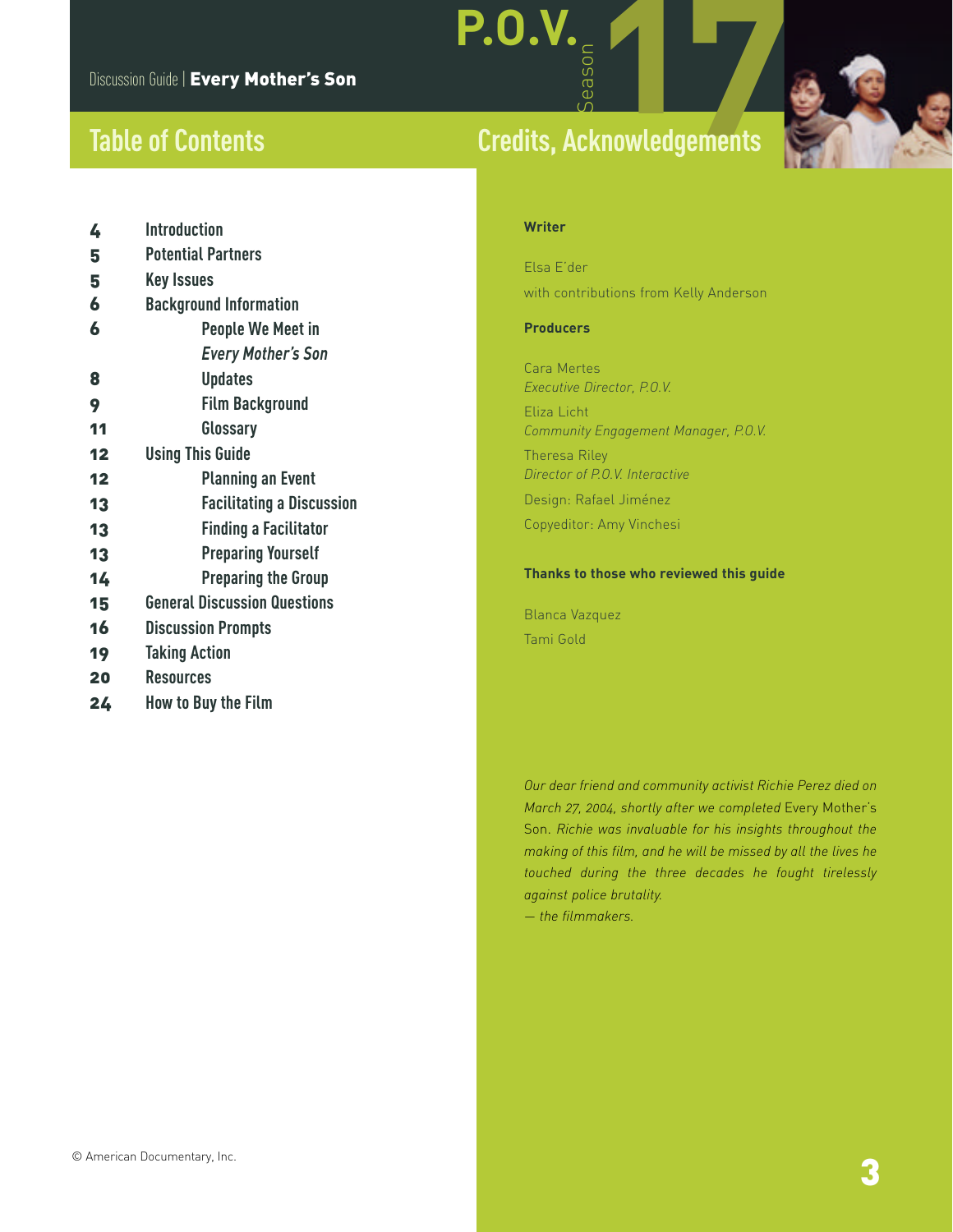## **Table of Contents**

# **P.O.V.**<br>
Season **17 Property Acknowledgements Credits, Acknowledgements**

| 4  | <b>Introduction</b>                 |
|----|-------------------------------------|
| 5  | <b>Potential Partners</b>           |
| 5  | <b>Key Issues</b>                   |
| 6  | <b>Background Information</b>       |
| 6  | People We Meet in                   |
|    | <b>Every Mother's Son</b>           |
| 8  | <b>Updates</b>                      |
| 9  | <b>Film Background</b>              |
| 11 | Glossary                            |
| 12 | <b>Using This Guide</b>             |
| 12 | <b>Planning an Event</b>            |
| 13 | <b>Facilitating a Discussion</b>    |
| 13 | <b>Finding a Facilitator</b>        |
| 13 | <b>Preparing Yourself</b>           |
| 14 | <b>Preparing the Group</b>          |
| 15 | <b>General Discussion Questions</b> |
| 16 | <b>Discussion Prompts</b>           |
| 19 | <b>Taking Action</b>                |
| 20 | <b>Resources</b>                    |
| 24 | How to Buy the Film                 |

#### **Writer**

Elsa E'der with contributions from Kelly Anderson

#### **Producers**

Cara Mertes *Executive Director, P.O.V.*

Eliza Licht *Community Engagement Manager, P.O.V.* Theresa Riley *Director of P.O.V. Interactive*  Design: Rafael Jiménez Copyeditor: Amy Vinchesi

#### **Thanks to those who reviewed this guide**

Blanca Vazquez Tami Gold

*Our dear friend and community activist Richie Perez died on March 27, 2004, shortly after we completed* Every Mother's Son. *Richie was invaluable for his insights throughout the making of this film, and he will be missed by all the lives he touched during the three decades he fought tirelessly against police brutality. — the filmmakers.*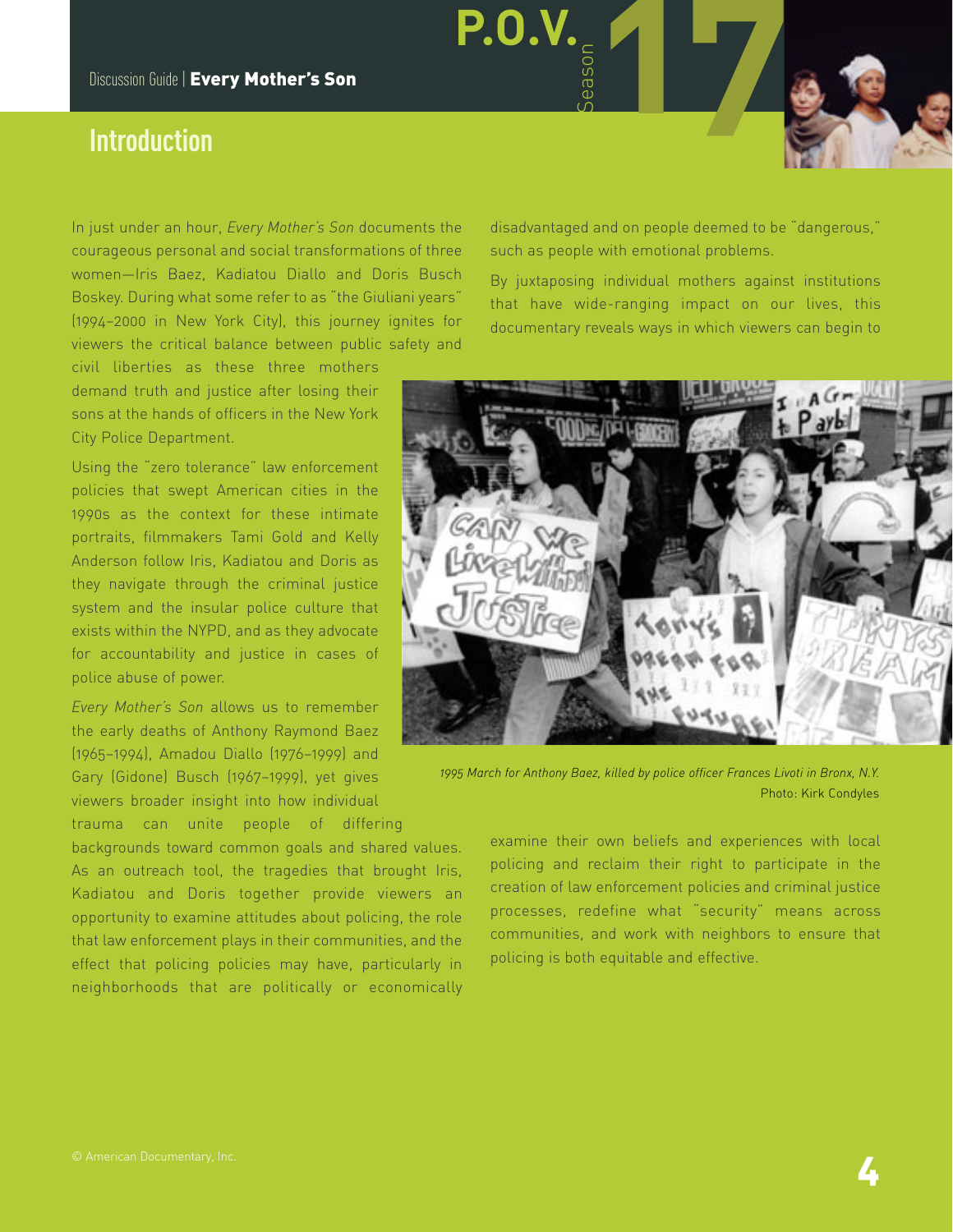## **Introduction**

In just under an hour, *Every Mother's Son* documents the courageous personal and social transformations of three women—Iris Baez, Kadiatou Diallo and Doris Busch Boskey. During what some refer to as "the Giuliani years" (1994–2000 in New York City), this journey ignites for viewers the critical balance between public safety and

civil liberties as these three mothers demand truth and justice after losing their sons at the hands of officers in the New York City Police Department.

Using the "zero tolerance" law enforcement policies that swept American cities in the 1990s as the context for these intimate portraits, filmmakers Tami Gold and Kelly Anderson follow Iris, Kadiatou and Doris as they navigate through the criminal justice system and the insular police culture that exists within the NYPD, and as they advocate for accountability and justice in cases of police abuse of power.

*Every Mother's Son* allows us to remember the early deaths of Anthony Raymond Baez (1965–1994), Amadou Diallo (1976–1999) and Gary (Gidone) Busch (1967–1999), yet gives viewers broader insight into how individual trauma can unite people of differing

backgrounds toward common goals and shared values. As an outreach tool, the tragedies that brought Iris, Kadiatou and Doris together provide viewers an opportunity to examine attitudes about policing, the role that law enforcement plays in their communities, and the effect that policing policies may have, particularly in neighborhoods that are politically or economically

disadvantaged and on people deemed to be "dangerous," such as people with emotional problems.

**P.O.V.** 

By juxtaposing individual mothers against institutions that have wide-ranging impact on our lives, this documentary reveals ways in which viewers can begin to



*1995 March for Anthony Baez, killed by police officer Frances Livoti in Bronx, N.Y.* Photo: Kirk Condyles

examine their own beliefs and experiences with local policing and reclaim their right to participate in the creation of law enforcement policies and criminal justice processes, redefine what "security" means across communities, and work with neighbors to ensure that policing is both equitable and effective.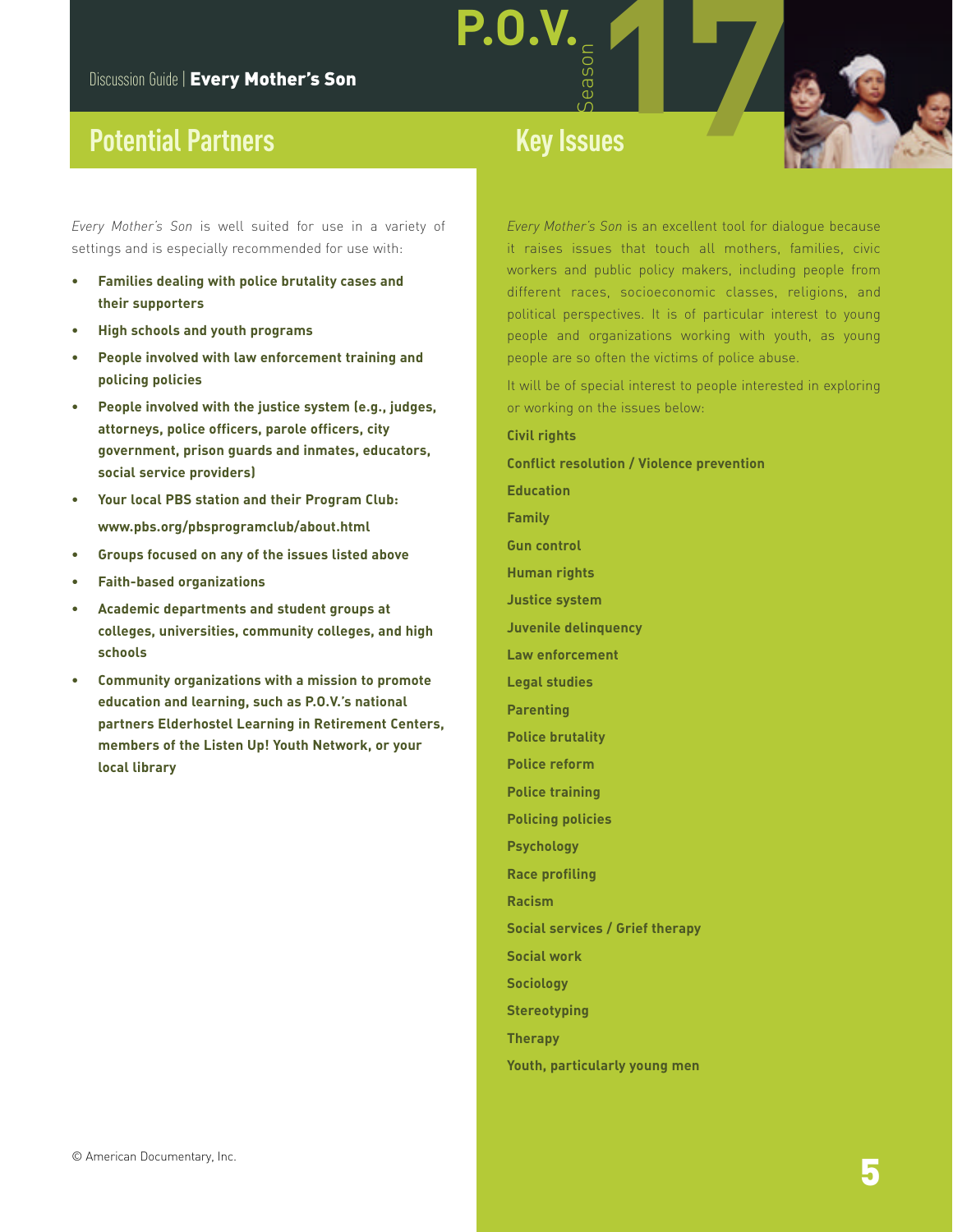## **Potential Partners**

*Every Mother's Son* is well suited for use in a variety of settings and is especially recommended for use with:

- **Families dealing with police brutality cases and their supporters**
- **High schools and youth programs**
- **People involved with law enforcement training and policing policies**
- **People involved with the justice system (e.g., judges, attorneys, police officers, parole officers, city government, prison guards and inmates, educators, social service providers)**
- **Your local PBS station and their Program Club: www.pbs.org/pbsprogramclub/about.html**
- **Groups focused on any of the issues listed above**
- **Faith-based organizations**
- **Academic departments and student groups at colleges, universities, community colleges, and high schools**
- **Community organizations with a mission to promote education and learning, such as P.O.V.'s national partners Elderhostel Learning in Retirement Centers, members of the Listen Up! Youth Network, or your local library**

**P.O.V.**<br>
Season **17 Property Key Issues**

> *Every Mother's Son* is an excellent tool for dialogue because it raises issues that touch all mothers, families, civic workers and public policy makers, including people from different races, socioeconomic classes, religions, and political perspectives. It is of particular interest to young people and organizations working with youth, as young people are so often the victims of police abuse.

> It will be of special interest to people interested in exploring or working on the issues below:

**Civil rights Conflict resolution / Violence prevention Education Family Gun control Human rights Justice system Juvenile delinquency Law enforcement Legal studies Parenting Police brutality Police reform Police training Policing policies Psychology Race profiling Racism Social services / Grief therapy Social work Sociology Stereotyping Therapy**

**Youth, particularly young men**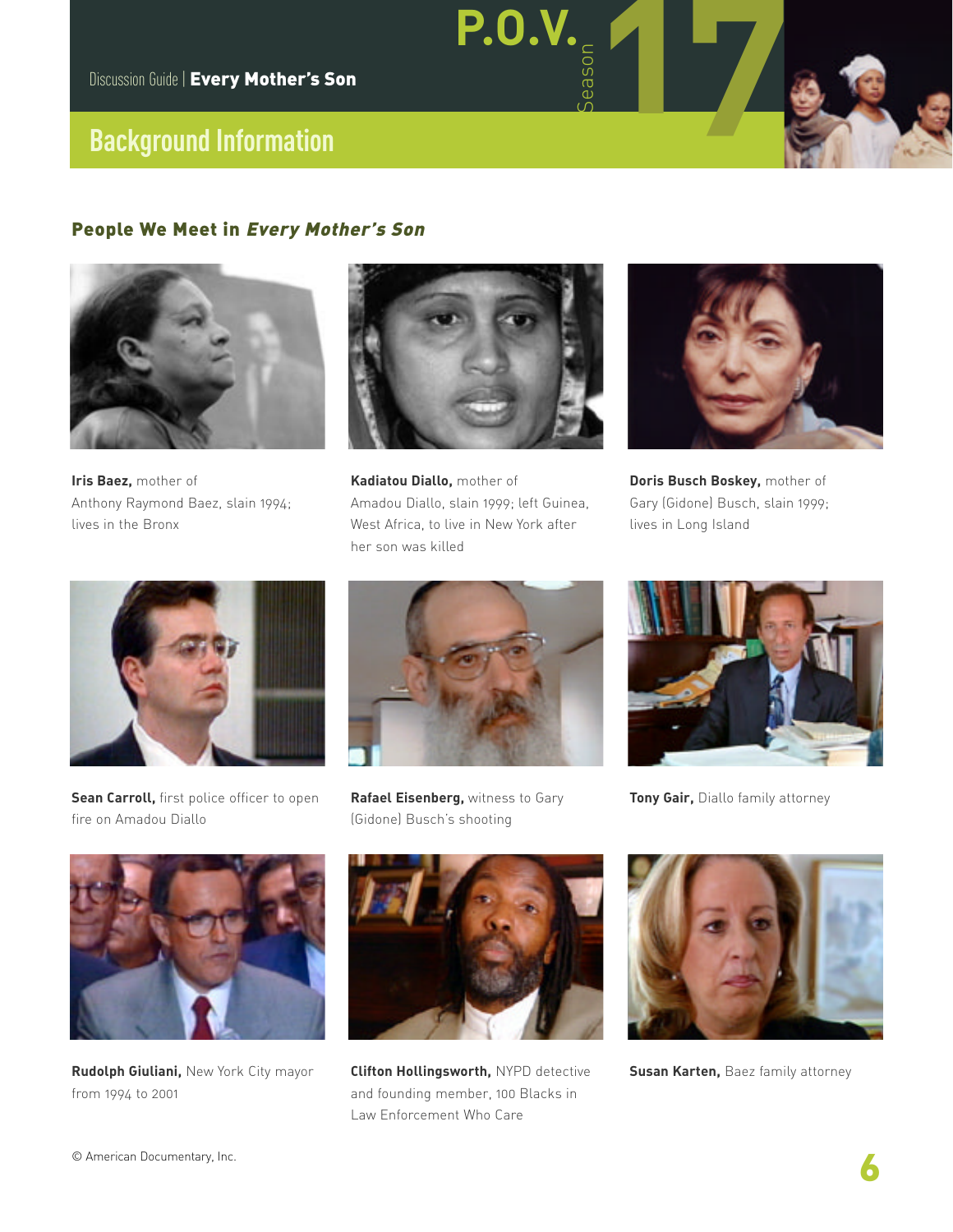#### People We Meet in Every Mother's Son



**Iris Baez,** mother of Anthony Raymond Baez, slain 1994; lives in the Bronx



**Kadiatou Diallo,** mother of Amadou Diallo, slain 1999; left Guinea, West Africa, to live in New York after her son was killed



**Doris Busch Boskey,** mother of Gary (Gidone) Busch, slain 1999; lives in Long Island



**Sean Carroll,** first police officer to open fire on Amadou Diallo



**Rafael Eisenberg,** witness to Gary (Gidone) Busch's shooting



**Tony Gair,** Diallo family attorney



**Rudolph Giuliani,** New York City mayor from 1994 to 2001



**Clifton Hollingsworth,** NYPD detective and founding member, 100 Blacks in Law Enforcement Who Care



**Susan Karten,** Baez family attorney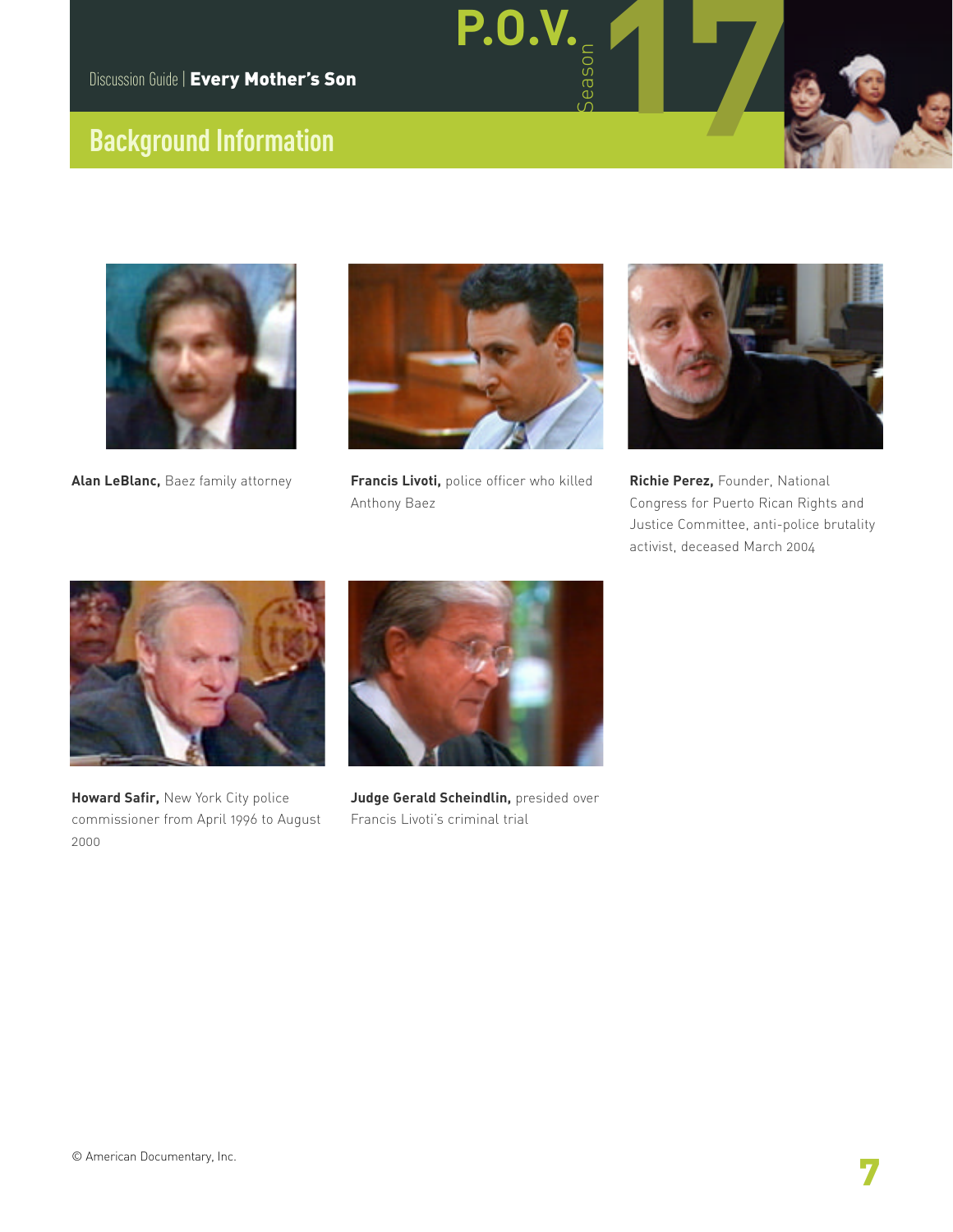



**Alan LeBlanc,** Baez family attorney **Francis Livoti,** police officer who killed Anthony Baez



**Richie Perez,** Founder, National Congress for Puerto Rican Rights and Justice Committee, anti-police brutality activist, deceased March 2004



**Howard Safir,** New York City police commissioner from April 1996 to August 2000



**Judge Gerald Scheindlin,** presided over Francis Livoti's criminal trial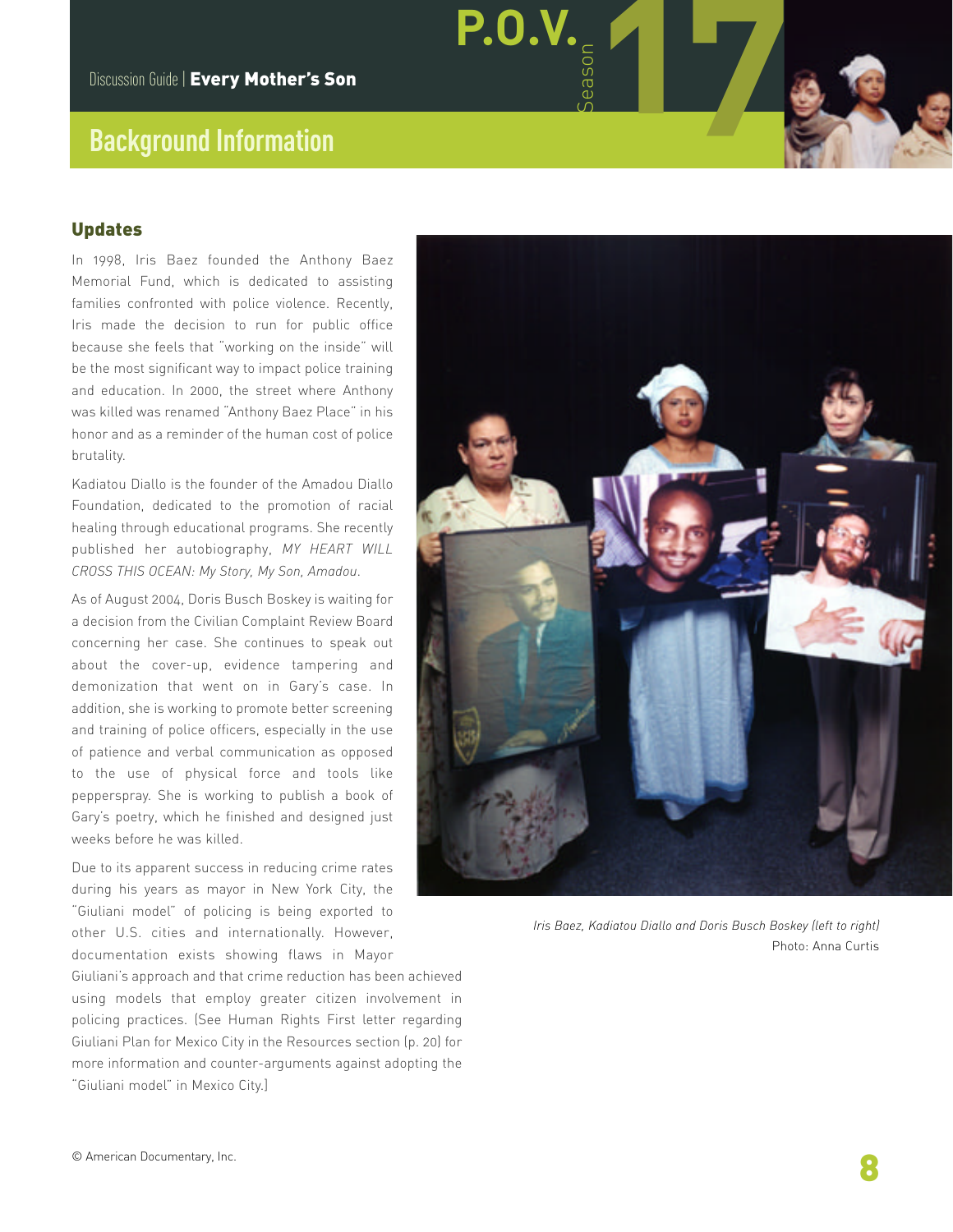#### Updates

In 1998, Iris Baez founded the Anthony Baez Memorial Fund, which is dedicated to assisting families confronted with police violence. Recently, Iris made the decision to run for public office because she feels that "working on the inside" will be the most significant way to impact police training and education. In 2000, the street where Anthony was killed was renamed "Anthony Baez Place" in his honor and as a reminder of the human cost of police brutality.

Kadiatou Diallo is the founder of the Amadou Diallo Foundation, dedicated to the promotion of racial healing through educational programs. She recently published her autobiography, *MY HEART WILL CROSS THIS OCEAN: My Story, My Son, Amadou*.

As of August 2004, Doris Busch Boskey is waiting for a decision from the Civilian Complaint Review Board concerning her case. She continues to speak out about the cover-up, evidence tampering and demonization that went on in Gary's case. In addition, she is working to promote better screening and training of police officers, especially in the use of patience and verbal communication as opposed to the use of physical force and tools like pepperspray. She is working to publish a book of Gary's poetry, which he finished and designed just weeks before he was killed.

Due to its apparent success in reducing crime rates during his years as mayor in New York City, the "Giuliani model" of policing is being exported to other U.S. cities and internationally. However, documentation exists showing flaws in Mayor

Giuliani's approach and that crime reduction has been achieved using models that employ greater citizen involvement in policing practices. (See Human Rights First letter regarding Giuliani Plan for Mexico City in the Resources section (p. 20) for more information and counter-arguments against adopting the "Giuliani model" in Mexico City.]



*Iris Baez, Kadiatou Diallo and Doris Busch Boskey (left to right)*  Photo: Anna Curtis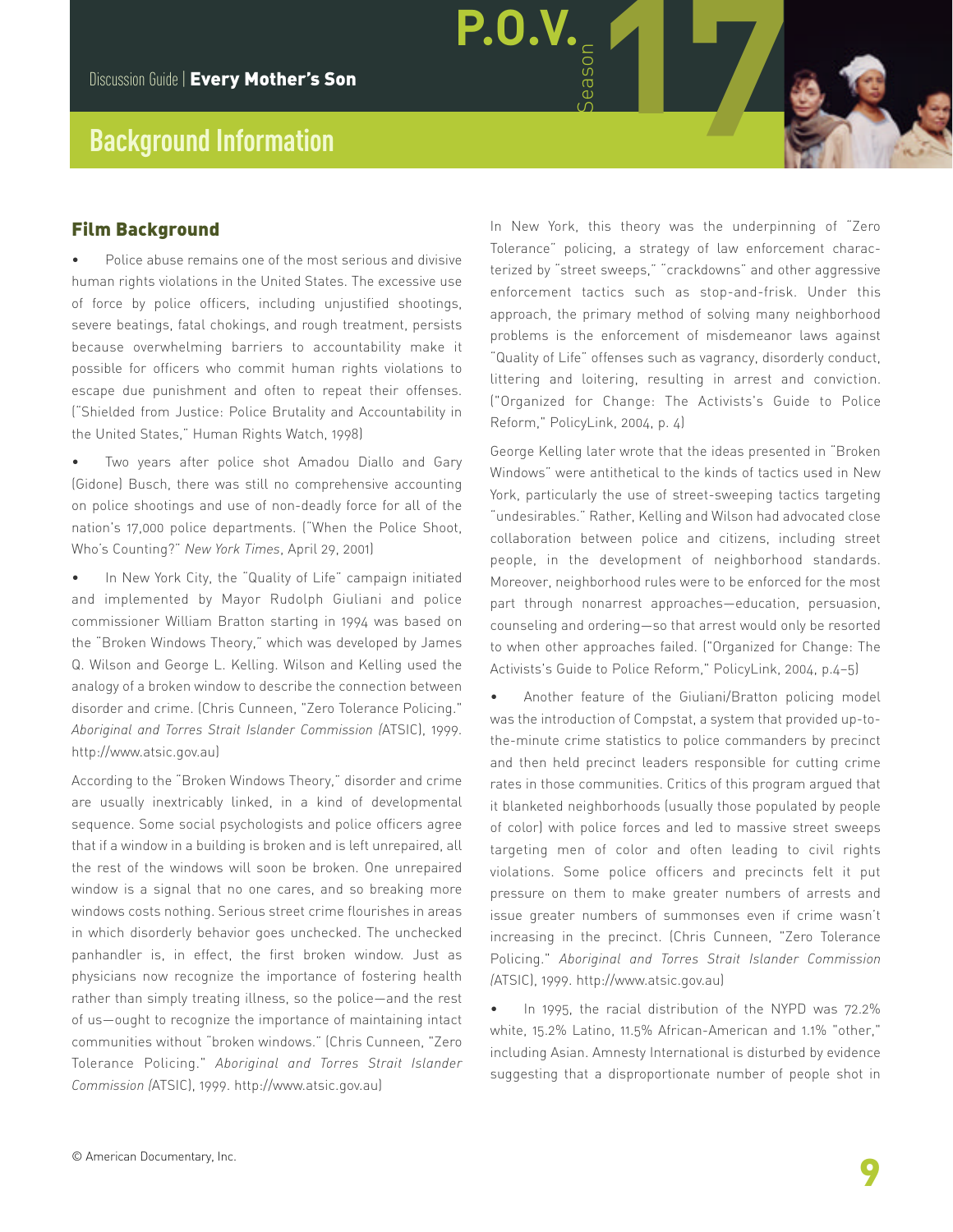#### Film Background

• Police abuse remains one of the most serious and divisive human rights violations in the United States. The excessive use of force by police officers, including unjustified shootings, severe beatings, fatal chokings, and rough treatment, persists because overwhelming barriers to accountability make it possible for officers who commit human rights violations to escape due punishment and often to repeat their offenses. ("Shielded from Justice: Police Brutality and Accountability in the United States," Human Rights Watch, 1998)

Two years after police shot Amadou Diallo and Gary (Gidone) Busch, there was still no comprehensive accounting on police shootings and use of non-deadly force for all of the nation's 17,000 police departments. ("When the Police Shoot, Who's Counting?" *New York Times*, April 29, 2001)

• In New York City, the "Quality of Life" campaign initiated and implemented by Mayor Rudolph Giuliani and police commissioner William Bratton starting in 1994 was based on the "Broken Windows Theory," which was developed by James Q. Wilson and George L. Kelling. Wilson and Kelling used the analogy of a broken window to describe the connection between disorder and crime. (Chris Cunneen, "Zero Tolerance Policing." *Aboriginal and Torres Strait Islander Commission (*ATSIC), 1999. http://www.atsic.gov.au)

According to the "Broken Windows Theory," disorder and crime are usually inextricably linked, in a kind of developmental sequence. Some social psychologists and police officers agree that if a window in a building is broken and is left unrepaired, all the rest of the windows will soon be broken. One unrepaired window is a signal that no one cares, and so breaking more windows costs nothing. Serious street crime flourishes in areas in which disorderly behavior goes unchecked. The unchecked panhandler is, in effect, the first broken window. Just as physicians now recognize the importance of fostering health rather than simply treating illness, so the police—and the rest of us—ought to recognize the importance of maintaining intact communities without "broken windows." (Chris Cunneen, "Zero Tolerance Policing." *Aboriginal and Torres Strait Islander Commission (*ATSIC), 1999. http://www.atsic.gov.au)

In New York, this theory was the underpinning of "Zero Tolerance" policing, a strategy of law enforcement characterized by "street sweeps," "crackdowns" and other aggressive enforcement tactics such as stop-and-frisk. Under this approach, the primary method of solving many neighborhood problems is the enforcement of misdemeanor laws against "Quality of Life" offenses such as vagrancy, disorderly conduct, littering and loitering, resulting in arrest and conviction. ("Organized for Change: The Activists's Guide to Police Reform," PolicyLink, 2004, p. 4)

Season **17 P.O.V.**

George Kelling later wrote that the ideas presented in "Broken Windows" were antithetical to the kinds of tactics used in New York, particularly the use of street-sweeping tactics targeting "undesirables." Rather, Kelling and Wilson had advocated close collaboration between police and citizens, including street people, in the development of neighborhood standards. Moreover, neighborhood rules were to be enforced for the most part through nonarrest approaches—education, persuasion, counseling and ordering—so that arrest would only be resorted to when other approaches failed. ("Organized for Change: The Activists's Guide to Police Reform," PolicyLink, 2004, p.4–5)

• Another feature of the Giuliani/Bratton policing model was the introduction of Compstat, a system that provided up-tothe-minute crime statistics to police commanders by precinct and then held precinct leaders responsible for cutting crime rates in those communities. Critics of this program argued that it blanketed neighborhoods (usually those populated by people of color) with police forces and led to massive street sweeps targeting men of color and often leading to civil rights violations. Some police officers and precincts felt it put pressure on them to make greater numbers of arrests and issue greater numbers of summonses even if crime wasn't increasing in the precinct. (Chris Cunneen, "Zero Tolerance Policing." *Aboriginal and Torres Strait Islander Commission (*ATSIC), 1999. http://www.atsic.gov.au)

• In 1995, the racial distribution of the NYPD was 72.2% white, 15.2% Latino, 11.5% African-American and 1.1% "other," including Asian. Amnesty International is disturbed by evidence suggesting that a disproportionate number of people shot in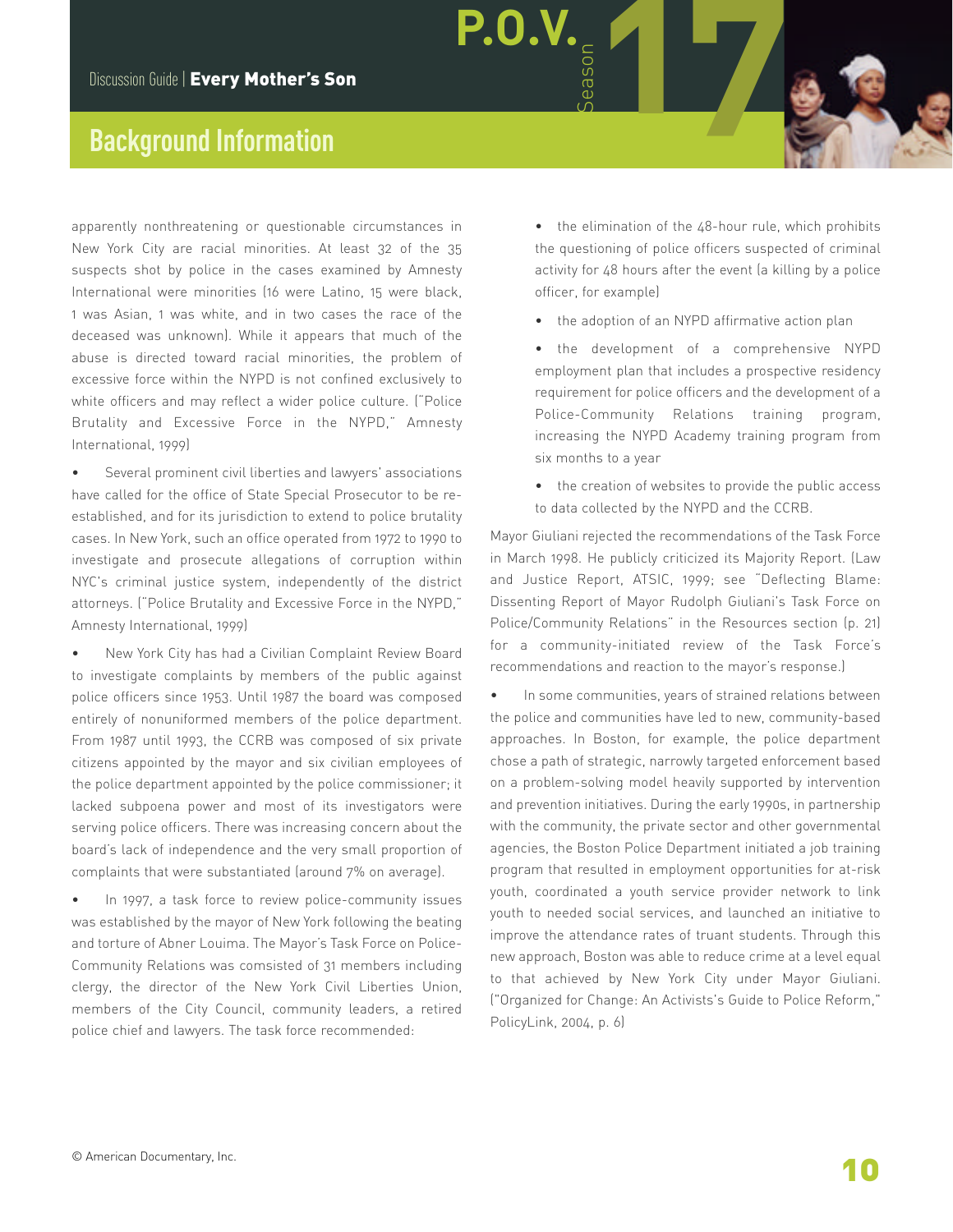apparently nonthreatening or questionable circumstances in New York City are racial minorities. At least 32 of the 35 suspects shot by police in the cases examined by Amnesty International were minorities (16 were Latino, 15 were black, 1 was Asian, 1 was white, and in two cases the race of the deceased was unknown). While it appears that much of the abuse is directed toward racial minorities, the problem of excessive force within the NYPD is not confined exclusively to white officers and may reflect a wider police culture. ("Police Brutality and Excessive Force in the NYPD," Amnesty International, 1999)

• Several prominent civil liberties and lawyers' associations have called for the office of State Special Prosecutor to be reestablished, and for its jurisdiction to extend to police brutality cases. In New York, such an office operated from 1972 to 1990 to investigate and prosecute allegations of corruption within NYC's criminal justice system, independently of the district attorneys. ("Police Brutality and Excessive Force in the NYPD," Amnesty International, 1999)

• New York City has had a Civilian Complaint Review Board to investigate complaints by members of the public against police officers since 1953. Until 1987 the board was composed entirely of nonuniformed members of the police department. From 1987 until 1993, the CCRB was composed of six private citizens appointed by the mayor and six civilian employees of the police department appointed by the police commissioner; it lacked subpoena power and most of its investigators were serving police officers. There was increasing concern about the board's lack of independence and the very small proportion of complaints that were substantiated (around 7% on average).

• In 1997, a task force to review police-community issues was established by the mayor of New York following the beating and torture of Abner Louima. The Mayor's Task Force on Police-Community Relations was comsisted of 31 members including clergy, the director of the New York Civil Liberties Union, members of the City Council, community leaders, a retired police chief and lawyers. The task force recommended:

• the elimination of the 48-hour rule, which prohibits the questioning of police officers suspected of criminal activity for 48 hours after the event (a killing by a police officer, for example)

Season **17 P.O.V.**

- the adoption of an NYPD affirmative action plan
- the development of a comprehensive NYPD employment plan that includes a prospective residency requirement for police officers and the development of a Police-Community Relations training program, increasing the NYPD Academy training program from six months to a year
- the creation of websites to provide the public access to data collected by the NYPD and the CCRB.

Mayor Giuliani rejected the recommendations of the Task Force in March 1998. He publicly criticized its Majority Report. (Law and Justice Report, ATSIC, 1999; see "Deflecting Blame: Dissenting Report of Mayor Rudolph Giuliani's Task Force on Police/Community Relations" in the Resources section (p. 21) for a community-initiated review of the Task Force's recommendations and reaction to the mayor's response.)

In some communities, years of strained relations between the police and communities have led to new, community-based approaches. In Boston, for example, the police department chose a path of strategic, narrowly targeted enforcement based on a problem-solving model heavily supported by intervention and prevention initiatives. During the early 1990s, in partnership with the community, the private sector and other governmental agencies, the Boston Police Department initiated a job training program that resulted in employment opportunities for at-risk youth, coordinated a youth service provider network to link youth to needed social services, and launched an initiative to improve the attendance rates of truant students. Through this new approach, Boston was able to reduce crime at a level equal to that achieved by New York City under Mayor Giuliani. ("Organized for Change: An Activists's Guide to Police Reform," PolicyLink, 2004, p. 6)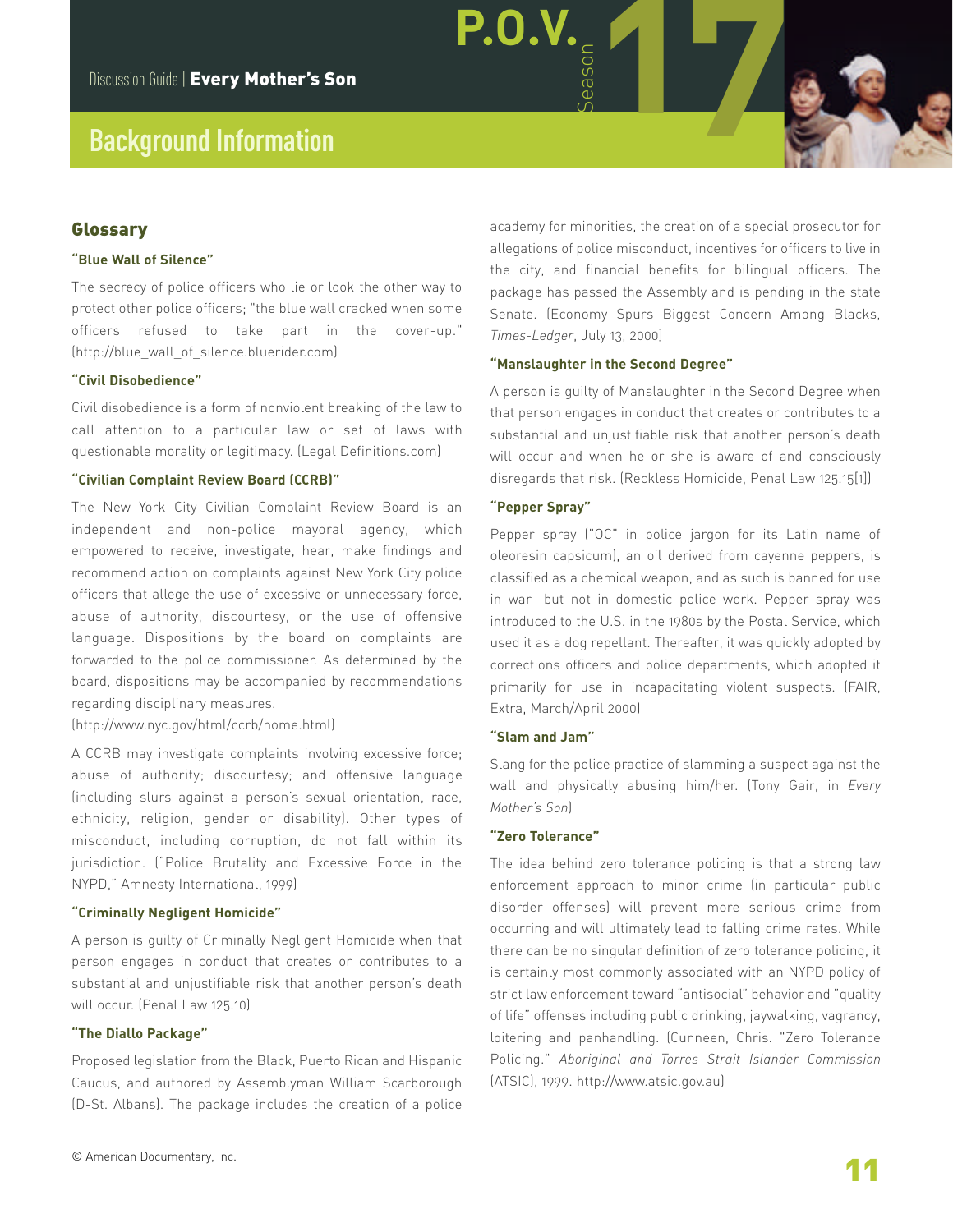#### Glossary

#### **"Blue Wall of Silence"**

The secrecy of police officers who lie or look the other way to protect other police officers; "the blue wall cracked when some officers refused to take part in the cover-up." (http://blue\_wall\_of\_silence.bluerider.com)

#### **"Civil Disobedience"**

Civil disobedience is a form of nonviolent breaking of the law to call attention to a particular law or set of laws with questionable morality or legitimacy. (Legal Definitions.com)

#### **"Civilian Complaint Review Board (CCRB)"**

The New York City Civilian Complaint Review Board is an independent and non-police mayoral agency, which empowered to receive, investigate, hear, make findings and recommend action on complaints against New York City police officers that allege the use of excessive or unnecessary force, abuse of authority, discourtesy, or the use of offensive language. Dispositions by the board on complaints are forwarded to the police commissioner. As determined by the board, dispositions may be accompanied by recommendations regarding disciplinary measures.

(http://www.nyc.gov/html/ccrb/home.html)

A CCRB may investigate complaints involving excessive force; abuse of authority; discourtesy; and offensive language (including slurs against a person's sexual orientation, race, ethnicity, religion, gender or disability). Other types of misconduct, including corruption, do not fall within its jurisdiction. ("Police Brutality and Excessive Force in the NYPD," Amnesty International, 1999)

#### **"Criminally Negligent Homicide"**

A person is guilty of Criminally Negligent Homicide when that person engages in conduct that creates or contributes to a substantial and unjustifiable risk that another person's death will occur. (Penal Law 125.10)

#### **"The Diallo Package"**

Proposed legislation from the Black, Puerto Rican and Hispanic Caucus, and authored by Assemblyman William Scarborough (D-St. Albans). The package includes the creation of a police

academy for minorities, the creation of a special prosecutor for allegations of police misconduct, incentives for officers to live in the city, and financial benefits for bilingual officers. The package has passed the Assembly and is pending in the state Senate. (Economy Spurs Biggest Concern Among Blacks, *Times-Ledger*, July 13, 2000]

#### **"Manslaughter in the Second Degree"**

Season **17 P.O.V.**

A person is guilty of Manslaughter in the Second Degree when that person engages in conduct that creates or contributes to a substantial and unjustifiable risk that another person's death will occur and when he or she is aware of and consciously disregards that risk. (Reckless Homicide, Penal Law 125.15[1])

#### **"Pepper Spray"**

Pepper spray ("OC" in police jargon for its Latin name of oleoresin capsicum), an oil derived from cayenne peppers, is classified as a chemical weapon, and as such is banned for use in war—but not in domestic police work. Pepper spray was introduced to the U.S. in the 1980s by the Postal Service, which used it as a dog repellant. Thereafter, it was quickly adopted by corrections officers and police departments, which adopted it primarily for use in incapacitating violent suspects. (FAIR, Extra, March/April 2000)

#### **"Slam and Jam"**

Slang for the police practice of slamming a suspect against the wall and physically abusing him/her. (Tony Gair, in *Every Mother's Son*)

#### **"Zero Tolerance"**

The idea behind zero tolerance policing is that a strong law enforcement approach to minor crime (in particular public disorder offenses) will prevent more serious crime from occurring and will ultimately lead to falling crime rates. While there can be no singular definition of zero tolerance policing, it is certainly most commonly associated with an NYPD policy of strict law enforcement toward "antisocial" behavior and "quality of life" offenses including public drinking, jaywalking, vagrancy, loitering and panhandling. (Cunneen, Chris. "Zero Tolerance Policing." *Aboriginal and Torres Strait Islander Commission* (ATSIC), 1999. http://www.atsic.gov.au)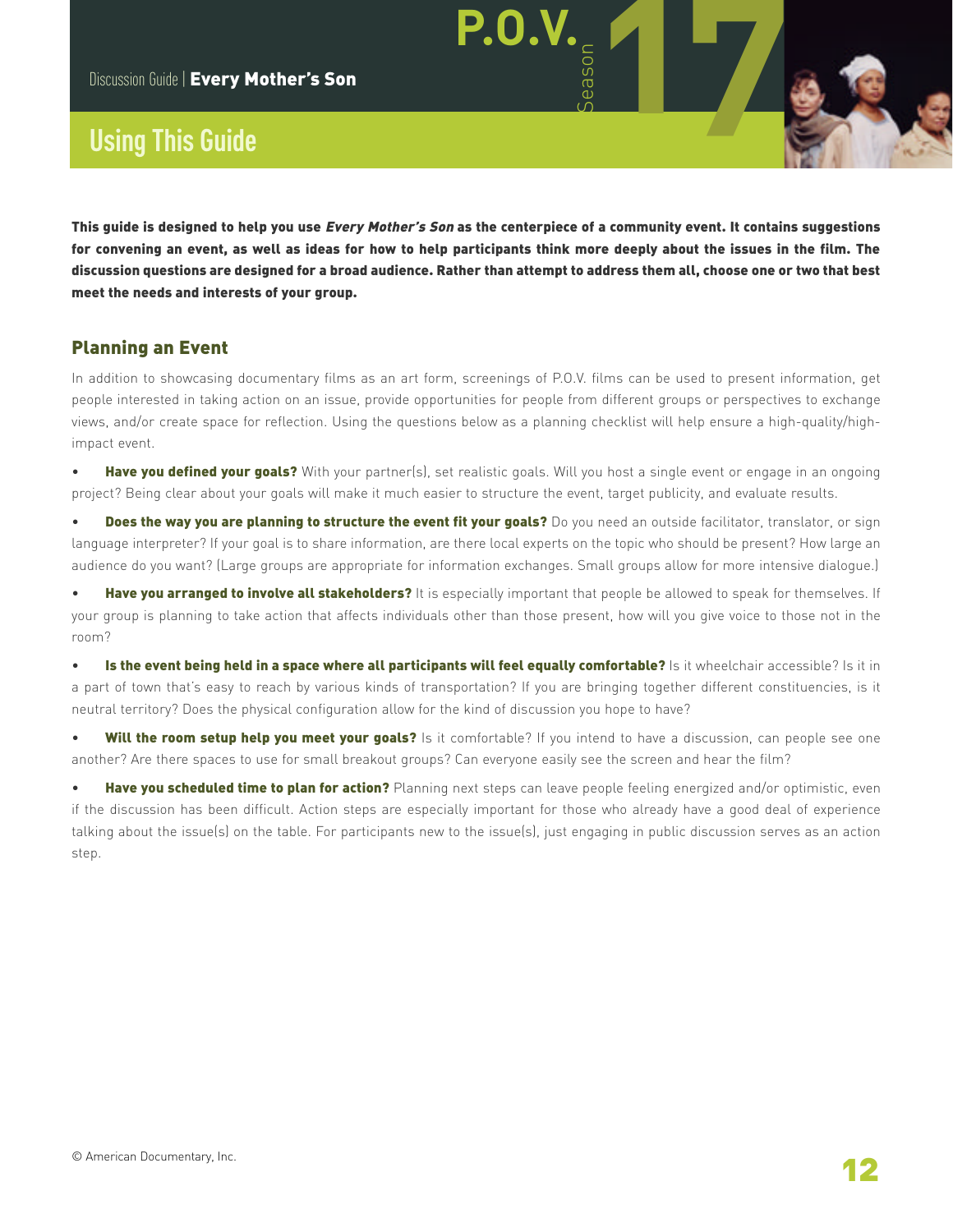## **Using This Guide**

This guide is designed to help you use Every Mother's Son as the centerpiece of a community event. It contains suggestions for convening an event, as well as ideas for how to help participants think more deeply about the issues in the film. The discussion questions are designed for a broad audience. Rather than attempt to address them all, choose one or two that best meet the needs and interests of your group.

Season **17 P.O.V.**

#### Planning an Event

In addition to showcasing documentary films as an art form, screenings of P.O.V. films can be used to present information, get people interested in taking action on an issue, provide opportunities for people from different groups or perspectives to exchange views, and/or create space for reflection. Using the questions below as a planning checklist will help ensure a high-quality/highimpact event.

• Have you defined your goals? With your partner(s), set realistic goals. Will you host a single event or engage in an ongoing project? Being clear about your goals will make it much easier to structure the event, target publicity, and evaluate results.

Does the way you are planning to structure the event fit your goals? Do you need an outside facilitator, translator, or sign language interpreter? If your goal is to share information, are there local experts on the topic who should be present? How large an audience do you want? (Large groups are appropriate for information exchanges. Small groups allow for more intensive dialogue.)

Have you arranged to involve all stakeholders? It is especially important that people be allowed to speak for themselves. If your group is planning to take action that affects individuals other than those present, how will you give voice to those not in the room?

Is the event being held in a space where all participants will feel equally comfortable? Is it wheelchair accessible? Is it in a part of town that's easy to reach by various kinds of transportation? If you are bringing together different constituencies, is it neutral territory? Does the physical configuration allow for the kind of discussion you hope to have?

• Will the room setup help you meet your goals? Is it comfortable? If you intend to have a discussion, can people see one another? Are there spaces to use for small breakout groups? Can everyone easily see the screen and hear the film?

• Have you scheduled time to plan for action? Planning next steps can leave people feeling energized and/or optimistic, even if the discussion has been difficult. Action steps are especially important for those who already have a good deal of experience talking about the issue(s) on the table. For participants new to the issue(s), just engaging in public discussion serves as an action step.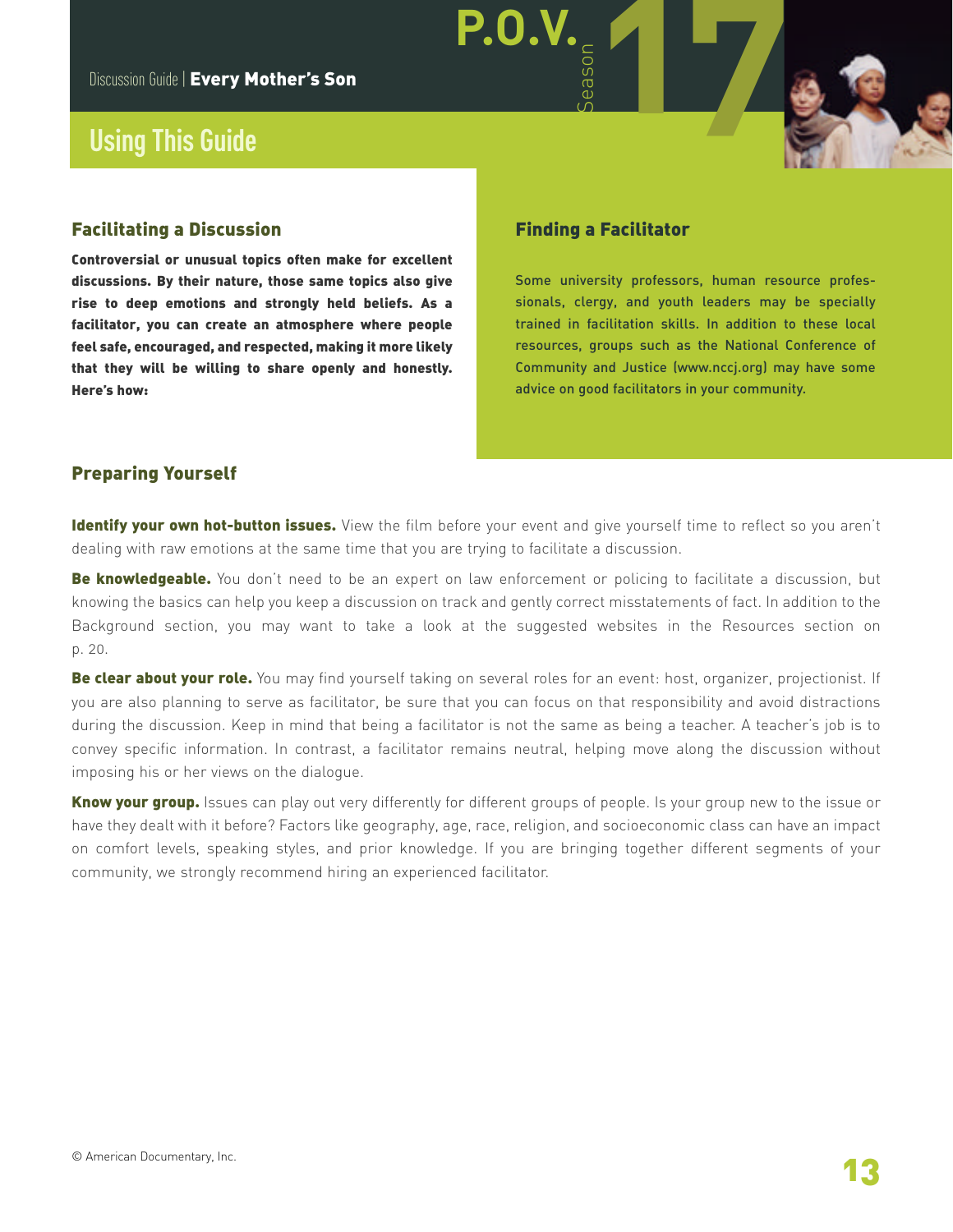## **Using This Guide**

#### Facilitating a Discussion

Controversial or unusual topics often make for excellent discussions. By their nature, those same topics also give rise to deep emotions and strongly held beliefs. As a facilitator, you can create an atmosphere where people feel safe, encouraged, and respected, making it more likely that they will be willing to share openly and honestly. Here's how:

#### Finding a Facilitator

**P.O.V.**

Some university professors, human resource professionals, clergy, and youth leaders may be specially trained in facilitation skills. In addition to these local resources, groups such as the National Conference of Community and Justice [\(www.nccj.org\)](http://www.nccj.org) may have some advice on good facilitators in your community.

Season **17**

#### Preparing Yourself

Identify your own hot-button issues. View the film before your event and give yourself time to reflect so you aren't dealing with raw emotions at the same time that you are trying to facilitate a discussion.

Be knowledgeable. You don't need to be an expert on law enforcement or policing to facilitate a discussion, but knowing the basics can help you keep a discussion on track and gently correct misstatements of fact. In addition to the Background section, you may want to take a look at the suggested websites in the Resources section on p. 20.

Be clear about your role. You may find yourself taking on several roles for an event: host, organizer, projectionist. If you are also planning to serve as facilitator, be sure that you can focus on that responsibility and avoid distractions during the discussion. Keep in mind that being a facilitator is not the same as being a teacher. A teacher's job is to convey specific information. In contrast, a facilitator remains neutral, helping move along the discussion without imposing his or her views on the dialogue.

Know your group. Issues can play out very differently for different groups of people. Is your group new to the issue or have they dealt with it before? Factors like geography, age, race, religion, and socioeconomic class can have an impact on comfort levels, speaking styles, and prior knowledge. If you are bringing together different segments of your community, we strongly recommend hiring an experienced facilitator.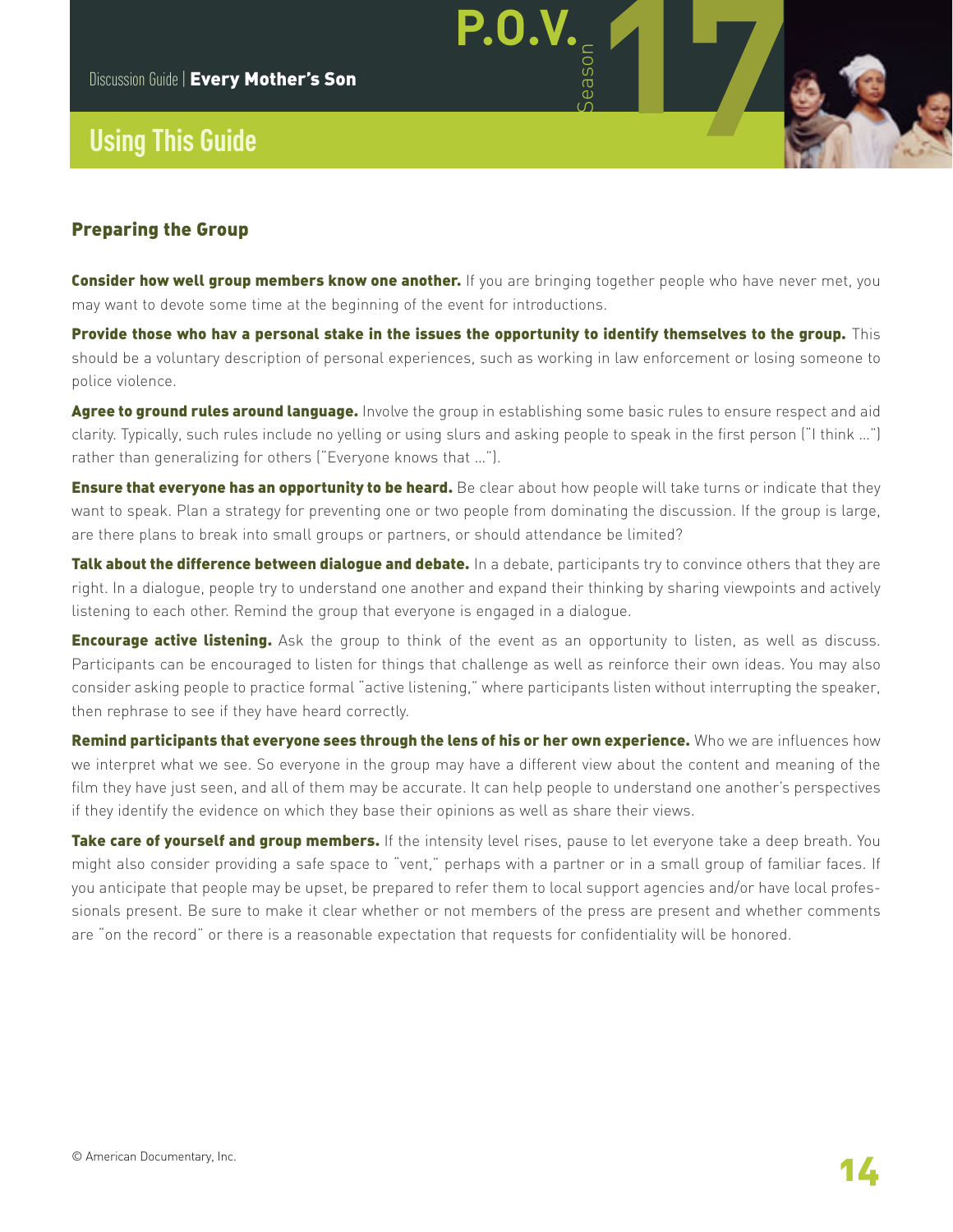## **Using This Guide**

#### Preparing the Group

**Consider how well group members know one another.** If you are bringing together people who have never met, you may want to devote some time at the beginning of the event for introductions.

Season **17 P.O.V.**

Provide those who hav a personal stake in the issues the opportunity to identify themselves to the group. This should be a voluntary description of personal experiences, such as working in law enforcement or losing someone to police violence.

Agree to ground rules around language. Involve the group in establishing some basic rules to ensure respect and aid clarity. Typically, such rules include no yelling or using slurs and asking people to speak in the first person ("I think …") rather than generalizing for others ("Everyone knows that …").

**Ensure that everyone has an opportunity to be heard.** Be clear about how people will take turns or indicate that they want to speak. Plan a strategy for preventing one or two people from dominating the discussion. If the group is large, are there plans to break into small groups or partners, or should attendance be limited?

Talk about the difference between dialogue and debate. In a debate, participants try to convince others that they are right. In a dialogue, people try to understand one another and expand their thinking by sharing viewpoints and actively listening to each other. Remind the group that everyone is engaged in a dialogue.

**Encourage active listening.** Ask the group to think of the event as an opportunity to listen, as well as discuss. Participants can be encouraged to listen for things that challenge as well as reinforce their own ideas. You may also consider asking people to practice formal "active listening," where participants listen without interrupting the speaker, then rephrase to see if they have heard correctly.

Remind participants that everyone sees through the lens of his or her own experience. Who we are influences how we interpret what we see. So everyone in the group may have a different view about the content and meaning of the film they have just seen, and all of them may be accurate. It can help people to understand one another's perspectives if they identify the evidence on which they base their opinions as well as share their views.

Take care of yourself and group members. If the intensity level rises, pause to let everyone take a deep breath. You might also consider providing a safe space to "vent," perhaps with a partner or in a small group of familiar faces. If you anticipate that people may be upset, be prepared to refer them to local support agencies and/or have local professionals present. Be sure to make it clear whether or not members of the press are present and whether comments are "on the record" or there is a reasonable expectation that requests for confidentiality will be honored.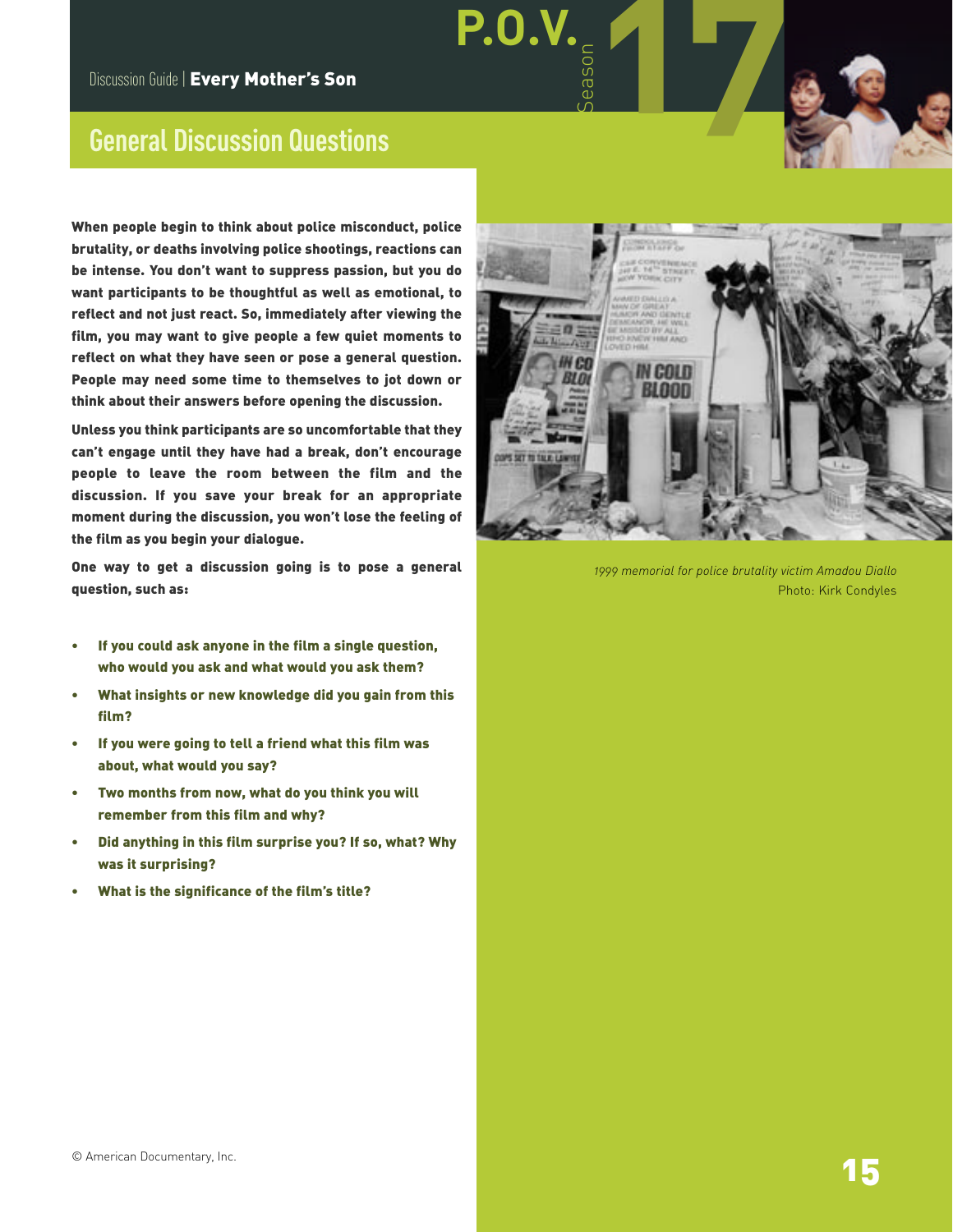## **General Discussion Questions**

When people begin to think about police misconduct, police brutality, or deaths involving police shootings, reactions can be intense. You don't want to suppress passion, but you do want participants to be thoughtful as well as emotional, to reflect and not just react. So, immediately after viewing the film, you may want to give people a few quiet moments to reflect on what they have seen or pose a general question. People may need some time to themselves to jot down or think about their answers before opening the discussion.

Unless you think participants are so uncomfortable that they can't engage until they have had a break, don't encourage people to leave the room between the film and the discussion. If you save your break for an appropriate moment during the discussion, you won't lose the feeling of the film as you begin your dialogue.

One way to get a discussion going is to pose a general question, such as:

- If you could ask anyone in the film a single question, who would you ask and what would you ask them?
- What insights or new knowledge did you gain from this film?
- If you were going to tell a friend what this film was about, what would you say?
- Two months from now, what do you think you will remember from this film and why?
- Did anything in this film surprise you? If so, what? Why was it surprising?
- What is the significance of the film's title?



*1999 memorial for police brutality victim Amadou Diallo*  Photo: Kirk Condyles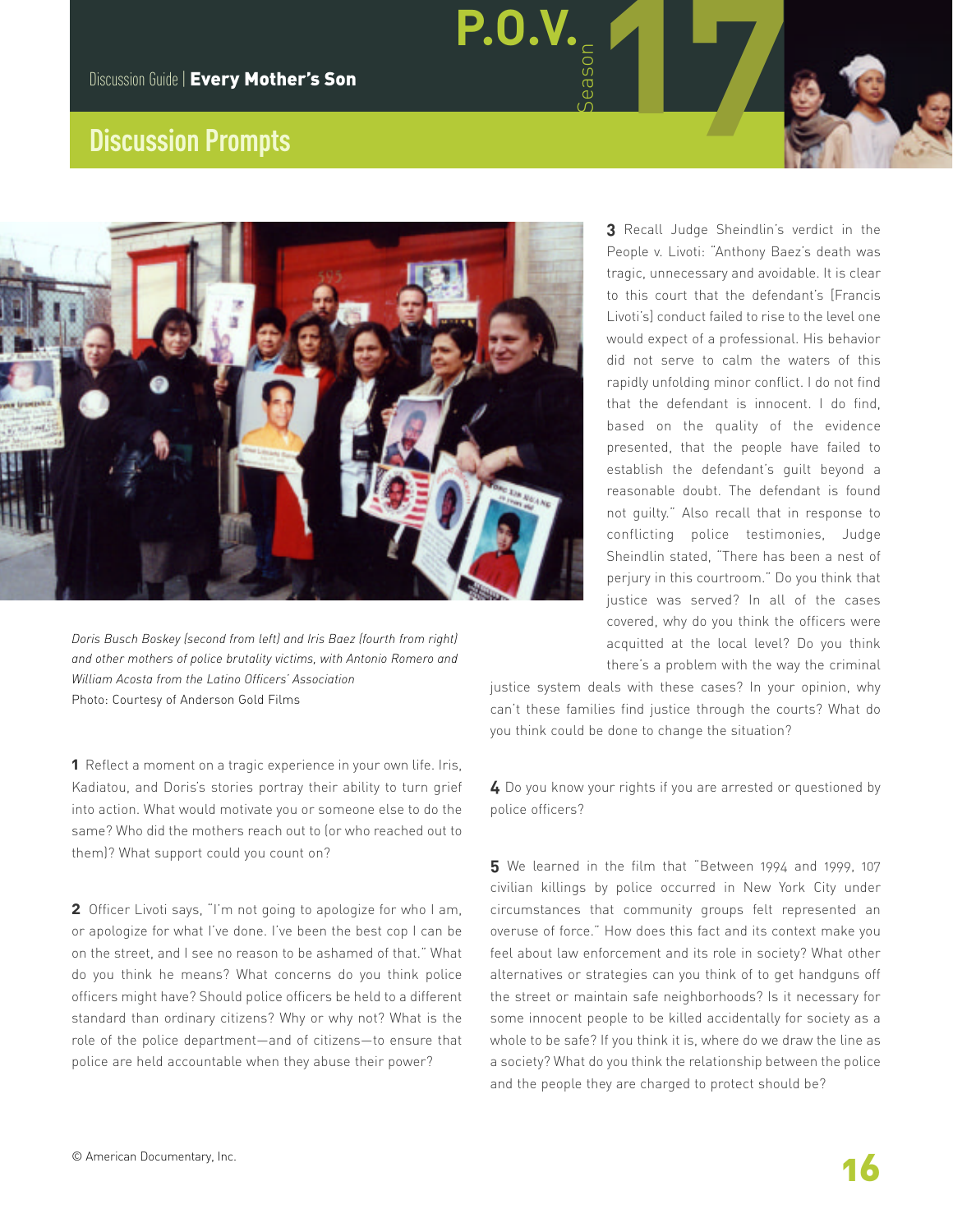## **Discussion Prompts**



*Doris Busch Boskey (second from left) and Iris Baez (fourth from right) and other mothers of police brutality victims, with Antonio Romero and William Acosta from the Latino Officers' Association* Photo: Courtesy of Anderson Gold Films

**1** Reflect a moment on a tragic experience in your own life. Iris, Kadiatou, and Doris's stories portray their ability to turn grief into action. What would motivate you or someone else to do the same? Who did the mothers reach out to (or who reached out to them)? What support could you count on?

**2** Officer Livoti says, "I'm not going to apologize for who I am, or apologize for what I've done. I've been the best cop I can be on the street, and I see no reason to be ashamed of that." What do you think he means? What concerns do you think police officers might have? Should police officers be held to a different standard than ordinary citizens? Why or why not? What is the role of the police department—and of citizens—to ensure that police are held accountable when they abuse their power?

**3** Recall Judge Sheindlin's verdict in the People v. Livoti: "Anthony Baez's death was tragic, unnecessary and avoidable. It is clear to this court that the defendant's [Francis Livoti's] conduct failed to rise to the level one would expect of a professional. His behavior did not serve to calm the waters of this rapidly unfolding minor conflict. I do not find that the defendant is innocent. I do find, based on the quality of the evidence presented, that the people have failed to establish the defendant's guilt beyond a reasonable doubt. The defendant is found not guilty." Also recall that in response to conflicting police testimonies, Judge Sheindlin stated, "There has been a nest of perjury in this courtroom." Do you think that justice was served? In all of the cases covered, why do you think the officers were acquitted at the local level? Do you think there's a problem with the way the criminal

justice system deals with these cases? In your opinion, why can't these families find justice through the courts? What do you think could be done to change the situation?

**P.O.V.** 

**4** Do you know your rights if you are arrested or questioned by police officers?

**5** We learned in the film that "Between 1994 and 1999, 107 civilian killings by police occurred in New York City under circumstances that community groups felt represented an overuse of force." How does this fact and its context make you feel about law enforcement and its role in society? What other alternatives or strategies can you think of to get handguns off the street or maintain safe neighborhoods? Is it necessary for some innocent people to be killed accidentally for society as a whole to be safe? If you think it is, where do we draw the line as a society? What do you think the relationship between the police and the people they are charged to protect should be?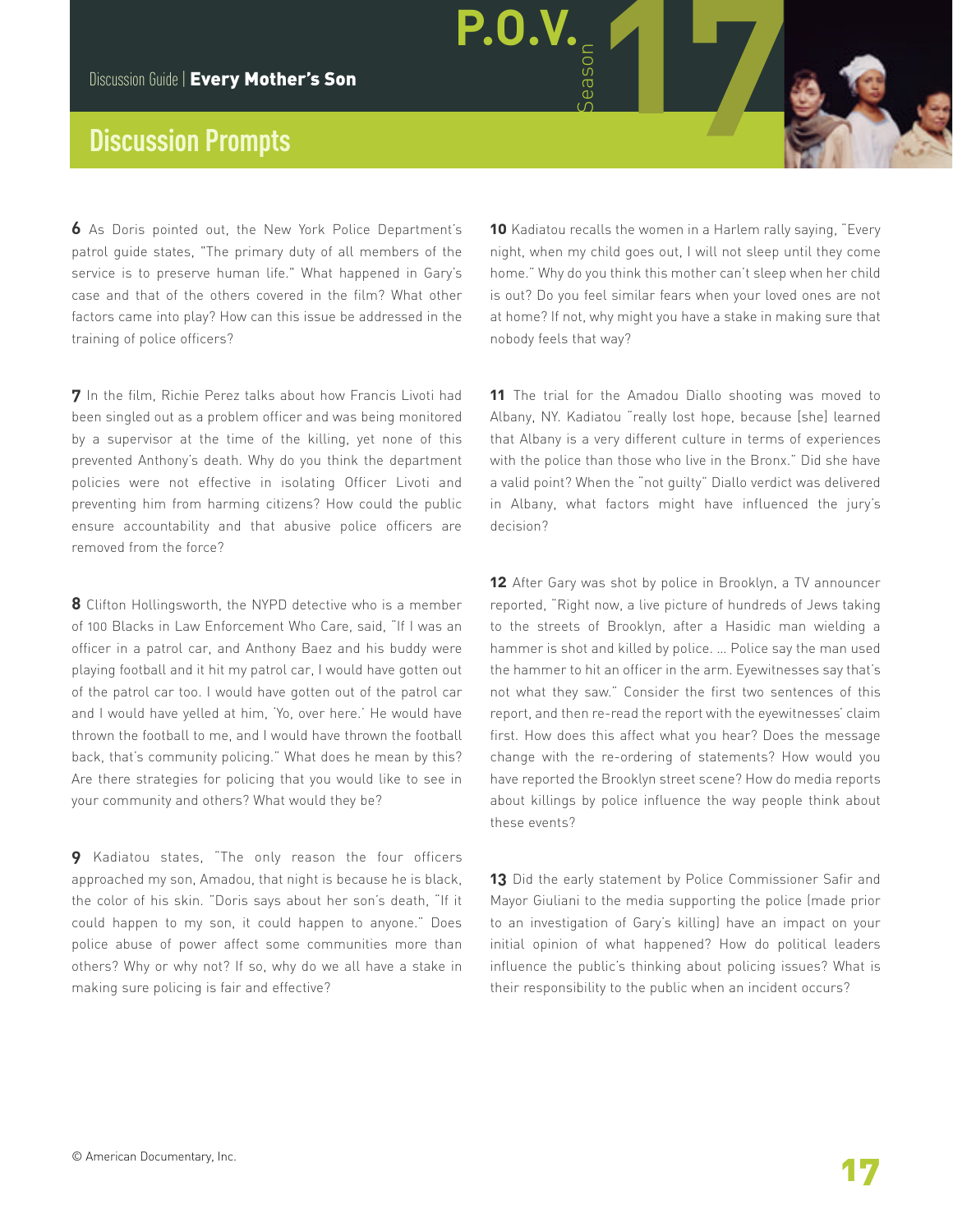## **Discussion Prompts**

**6** As Doris pointed out, the New York Police Department's patrol guide states, "The primary duty of all members of the service is to preserve human life." What happened in Gary's case and that of the others covered in the film? What other factors came into play? How can this issue be addressed in the training of police officers?

**7** In the film, Richie Perez talks about how Francis Livoti had been singled out as a problem officer and was being monitored by a supervisor at the time of the killing, yet none of this prevented Anthony's death. Why do you think the department policies were not effective in isolating Officer Livoti and preventing him from harming citizens? How could the public ensure accountability and that abusive police officers are removed from the force?

**8** Clifton Hollingsworth, the NYPD detective who is a member of 100 Blacks in Law Enforcement Who Care, said, "If I was an officer in a patrol car, and Anthony Baez and his buddy were playing football and it hit my patrol car, I would have gotten out of the patrol car too. I would have gotten out of the patrol car and I would have yelled at him, 'Yo, over here.' He would have thrown the football to me, and I would have thrown the football back, that's community policing." What does he mean by this? Are there strategies for policing that you would like to see in your community and others? What would they be?

**9** Kadiatou states, "The only reason the four officers approached my son, Amadou, that night is because he is black, the color of his skin. "Doris says about her son's death, "If it could happen to my son, it could happen to anyone." Does police abuse of power affect some communities more than others? Why or why not? If so, why do we all have a stake in making sure policing is fair and effective?

**10** Kadiatou recalls the women in a Harlem rally saying, "Every night, when my child goes out, I will not sleep until they come home." Why do you think this mother can't sleep when her child is out? Do you feel similar fears when your loved ones are not at home? If not, why might you have a stake in making sure that nobody feels that way?

Season **17 P.O.V.**

**11** The trial for the Amadou Diallo shooting was moved to Albany, NY. Kadiatou "really lost hope, because [she] learned that Albany is a very different culture in terms of experiences with the police than those who live in the Bronx." Did she have a valid point? When the "not guilty" Diallo verdict was delivered in Albany, what factors might have influenced the jury's decision?

**12** After Gary was shot by police in Brooklyn, a TV announcer reported, "Right now, a live picture of hundreds of Jews taking to the streets of Brooklyn, after a Hasidic man wielding a hammer is shot and killed by police. … Police say the man used the hammer to hit an officer in the arm. Eyewitnesses say that's not what they saw." Consider the first two sentences of this report, and then re-read the report with the eyewitnesses' claim first. How does this affect what you hear? Does the message change with the re-ordering of statements? How would you have reported the Brooklyn street scene? How do media reports about killings by police influence the way people think about these events?

13 Did the early statement by Police Commissioner Safir and Mayor Giuliani to the media supporting the police (made prior to an investigation of Gary's killing) have an impact on your initial opinion of what happened? How do political leaders influence the public's thinking about policing issues? What is their responsibility to the public when an incident occurs?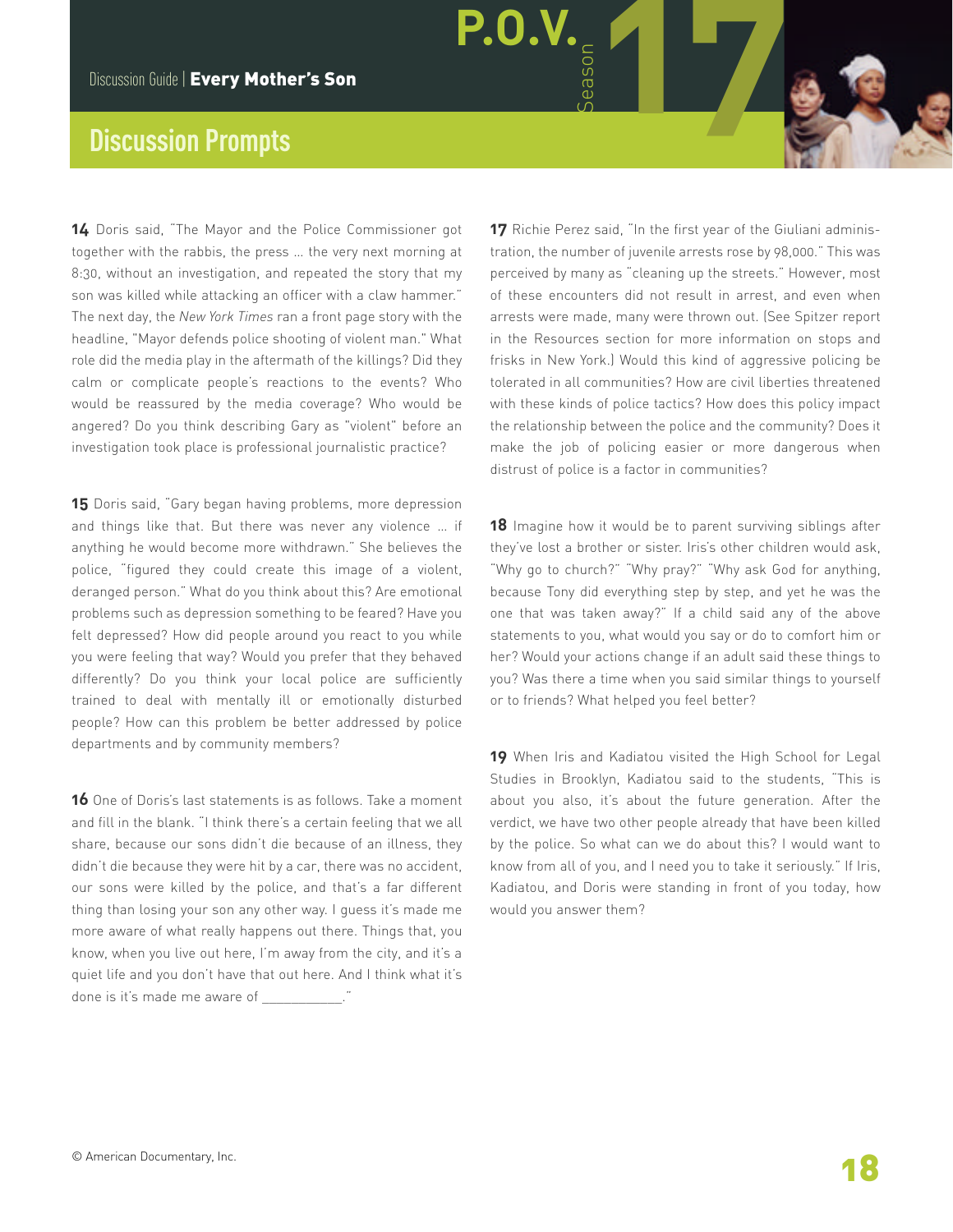## **Discussion Prompts**

**14** Doris said, "The Mayor and the Police Commissioner got together with the rabbis, the press … the very next morning at 8:30, without an investigation, and repeated the story that my son was killed while attacking an officer with a claw hammer." The next day, the *New York Times* ran a front page story with the headline, "Mayor defends police shooting of violent man." What role did the media play in the aftermath of the killings? Did they calm or complicate people's reactions to the events? Who would be reassured by the media coverage? Who would be angered? Do you think describing Gary as "violent" before an investigation took place is professional journalistic practice?

**15** Doris said, "Gary began having problems, more depression and things like that. But there was never any violence … if anything he would become more withdrawn." She believes the police, "figured they could create this image of a violent, deranged person." What do you think about this? Are emotional problems such as depression something to be feared? Have you felt depressed? How did people around you react to you while you were feeling that way? Would you prefer that they behaved differently? Do you think your local police are sufficiently trained to deal with mentally ill or emotionally disturbed people? How can this problem be better addressed by police departments and by community members?

**16** One of Doris's last statements is as follows. Take a moment and fill in the blank. "I think there's a certain feeling that we all share, because our sons didn't die because of an illness, they didn't die because they were hit by a car, there was no accident, our sons were killed by the police, and that's a far different thing than losing your son any other way. I guess it's made me more aware of what really happens out there. Things that, you know, when you live out here, I'm away from the city, and it's a quiet life and you don't have that out here. And I think what it's done is it's made me aware of  $\qquad \qquad$ 

17 Richie Perez said, "In the first year of the Giuliani administration, the number of juvenile arrests rose by 98,000." This was perceived by many as "cleaning up the streets." However, most of these encounters did not result in arrest, and even when arrests were made, many were thrown out. (See Spitzer report in the Resources section for more information on stops and frisks in New York.) Would this kind of aggressive policing be tolerated in all communities? How are civil liberties threatened with these kinds of police tactics? How does this policy impact the relationship between the police and the community? Does it make the job of policing easier or more dangerous when distrust of police is a factor in communities?

Season **17 P.O.V.**

**18** Imagine how it would be to parent surviving siblings after they've lost a brother or sister. Iris's other children would ask, "Why go to church?" "Why pray?" "Why ask God for anything, because Tony did everything step by step, and yet he was the one that was taken away?" If a child said any of the above statements to you, what would you say or do to comfort him or her? Would your actions change if an adult said these things to you? Was there a time when you said similar things to yourself or to friends? What helped you feel better?

**19** When Iris and Kadiatou visited the High School for Legal Studies in Brooklyn, Kadiatou said to the students, "This is about you also, it's about the future generation. After the verdict, we have two other people already that have been killed by the police. So what can we do about this? I would want to know from all of you, and I need you to take it seriously." If Iris, Kadiatou, and Doris were standing in front of you today, how would you answer them?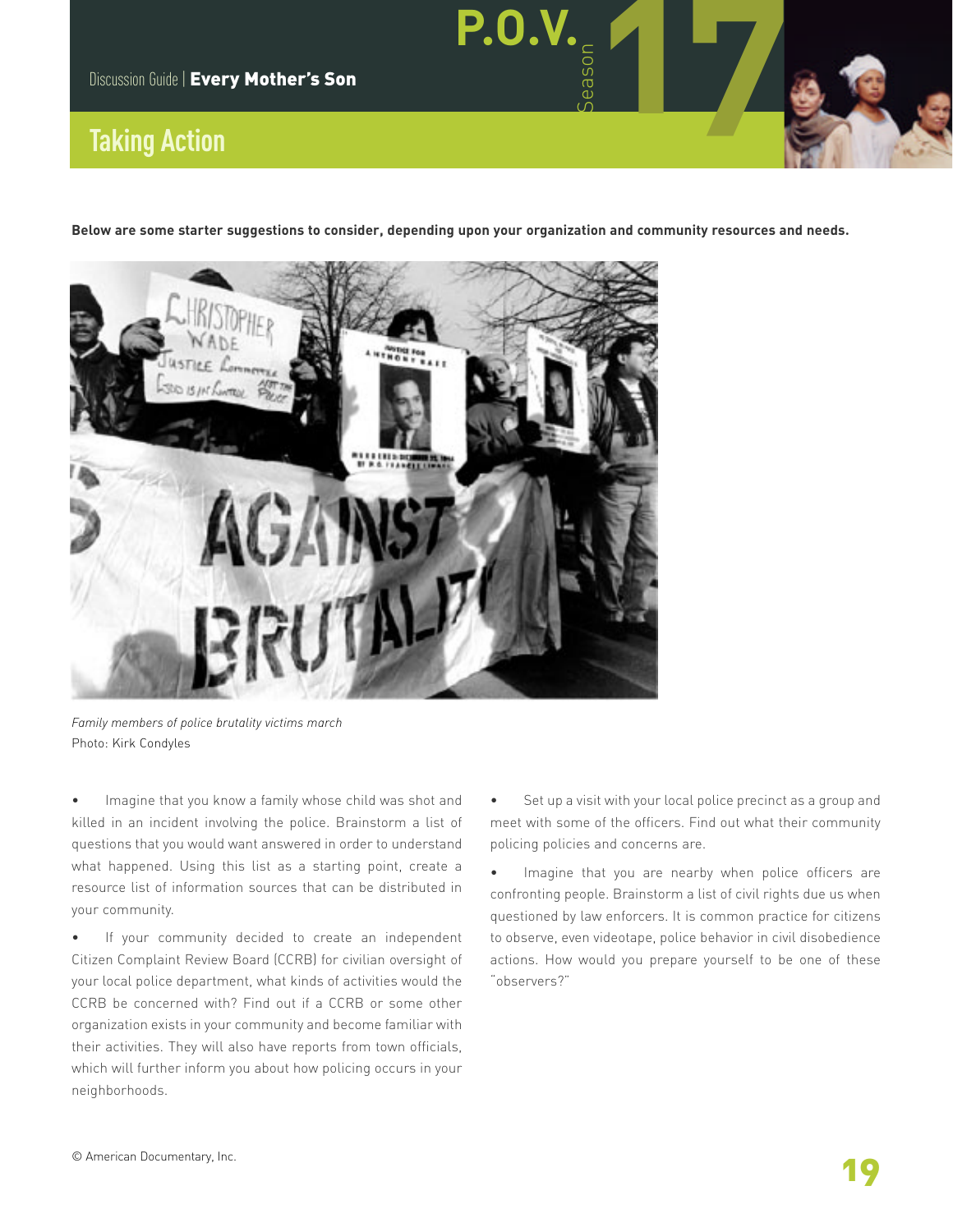## **Taking Action**

**Below are some starter suggestions to consider, depending upon your organization and community resources and needs.**

Season **17 P.O.V.**



*Family members of police brutality victims march* Photo: Kirk Condyles

• Imagine that you know a family whose child was shot and killed in an incident involving the police. Brainstorm a list of questions that you would want answered in order to understand what happened. Using this list as a starting point, create a resource list of information sources that can be distributed in your community.

• If your community decided to create an independent Citizen Complaint Review Board (CCRB) for civilian oversight of your local police department, what kinds of activities would the CCRB be concerned with? Find out if a CCRB or some other organization exists in your community and become familiar with their activities. They will also have reports from town officials, which will further inform you about how policing occurs in your neighborhoods.

Set up a visit with your local police precinct as a group and meet with some of the officers. Find out what their community policing policies and concerns are.

Imagine that you are nearby when police officers are confronting people. Brainstorm a list of civil rights due us when questioned by law enforcers. It is common practice for citizens to observe, even videotape, police behavior in civil disobedience actions. How would you prepare yourself to be one of these "observers?"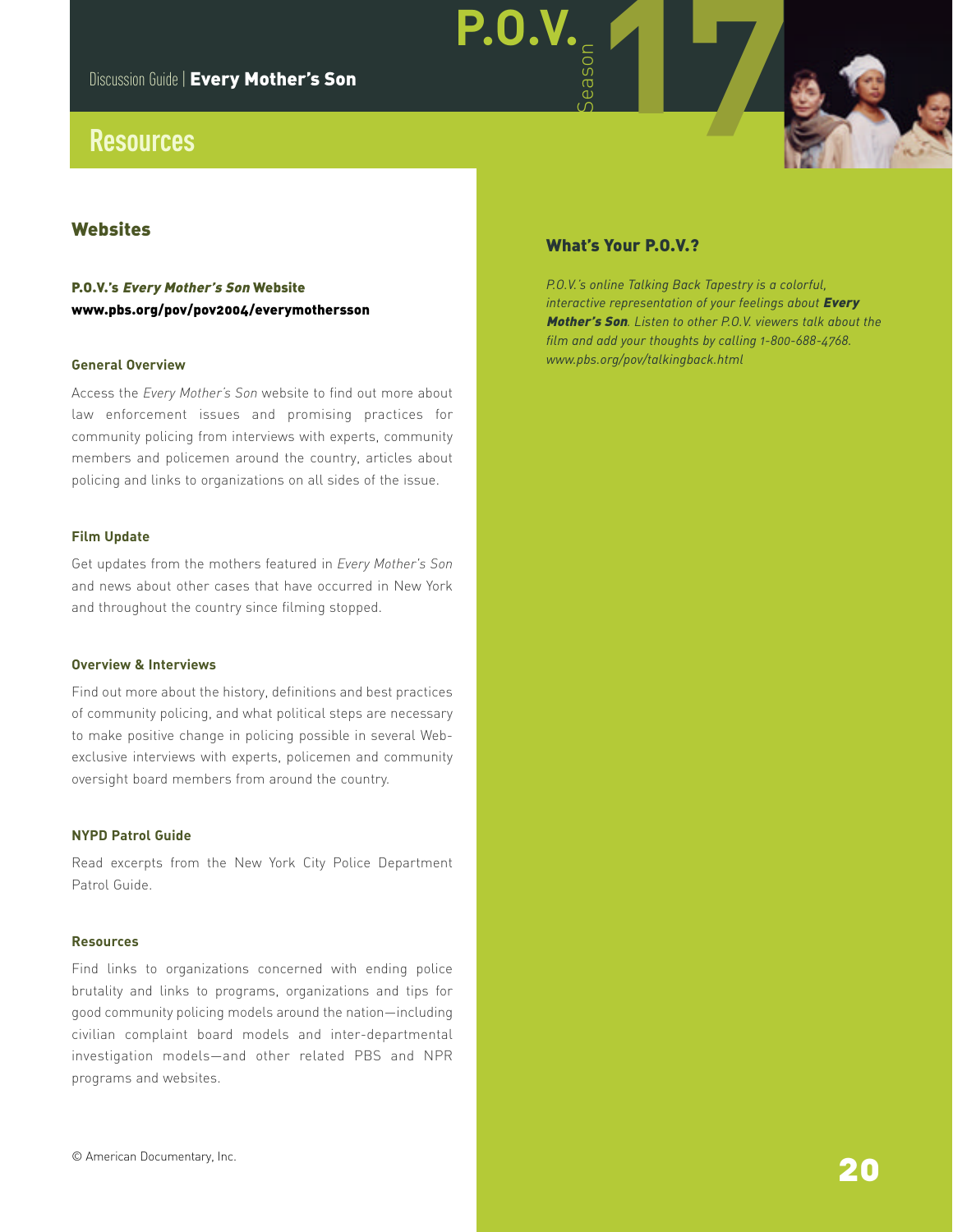## **Resources**

#### **Websites**

P.O.V.'s Every Mother's Son Website <www.pbs.org/pov/pov2004/everymothersson>

#### **General Overview**

Access the *Every Mother's Son* website to find out more about law enforcement issues and promising practices for community policing from interviews with experts, community members and policemen around the country, articles about policing and links to organizations on all sides of the issue.

#### **Film Update**

Get updates from the mothers featured in *Every Mother's Son* and news about other cases that have occurred in New York and throughout the country since filming stopped.

#### **Overview & Interviews**

Find out more about the history, definitions and best practices of community policing, and what political steps are necessary to make positive change in policing possible in several Webexclusive interviews with experts, policemen and community oversight board members from around the country.

#### **NYPD Patrol Guide**

Read excerpts from the New York City Police Department Patrol Guide.

#### **Resources**

Find links to organizations concerned with ending police brutality and links to programs, organizations and tips for good community policing models around the nation—including civilian complaint board models and inter-departmental investigation models—and other related PBS and NPR programs and websites.

#### What's Your P.O.V.?

Season **17 P.O.V.**

*P.O.V.'s online Talking Back Tapestry is a colorful, interactive representation of your feelings about* Every Mother's Son*. Listen to other P.O.V. viewers talk about the film and add your thoughts by calling 1-800-688-4768. [www.pbs.org/pov/talkingback.html](http://www.pbs.org/pov/talkingback.html)*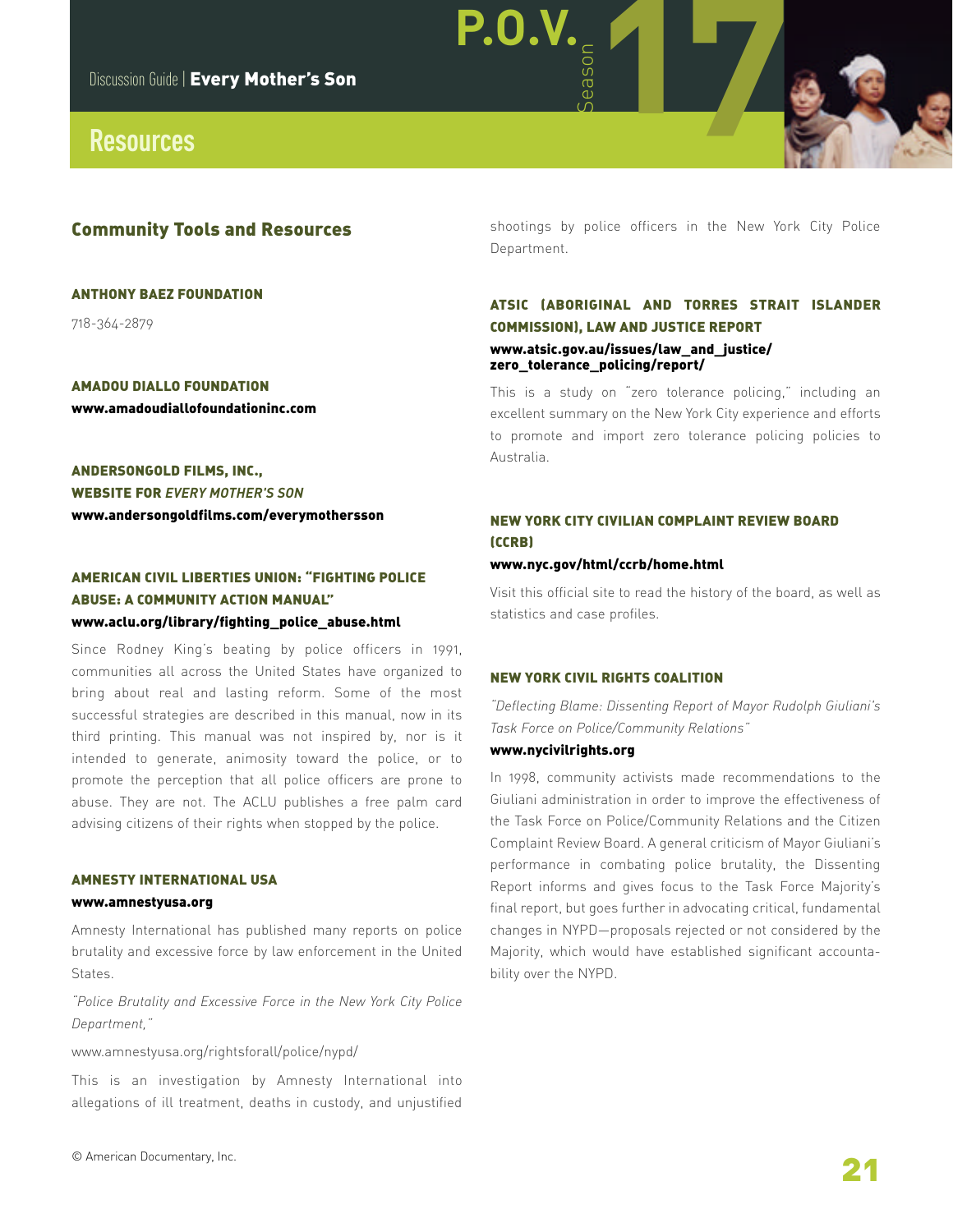### **Resources**

#### Community Tools and Resources

#### ANTHONY BAEZ FOUNDATION

718-364-2879

AMADOU DIALLO FOUNDATION [www.amadoudiallofoundationinc.com](http://www.amadoudiallofoundationinc.com)

#### ANDERSONGOLD FILMS, INC., WEBSITE FOR *EVERY MOTHER'S SON* [www.andersongoldfilms.com/everymothersson](http://www.andersongoldfilms.com/everymothersson)

#### AMERICAN CIVIL LIBERTIES UNION: "FIGHTING POLICE ABUSE: A COMMUNITY ACTION MANUAL" [www.aclu.org/library/fighting\\_police\\_abuse.html](http://www.aclu.org/library/fighting_police_abuse.html)

Since Rodney King's beating by police officers in 1991, communities all across the United States have organized to bring about real and lasting reform. Some of the most successful strategies are described in this manual, now in its third printing. This manual was not inspired by, nor is it intended to generate, animosity toward the police, or to promote the perception that all police officers are prone to abuse. They are not. The ACLU publishes a free palm card advising citizens of their rights when stopped by the police.

#### AMNESTY INTERNATIONAL USA

#### [www.amnestyusa.org](http://www.amnestyusa.org)

Amnesty International has published many reports on police brutality and excessive force by law enforcement in the United States.

*"Police Brutality and Excessive Force in the New York City Police Department,"*

[www.amnestyusa.org/rightsforall/police/nypd/](http://www.amnestyusa.org/rightsforall/police/nypd/)

This is an investigation by Amnesty International into allegations of ill treatment, deaths in custody, and unjustified shootings by police officers in the New York City Police Department.

#### ATSIC (ABORIGINAL AND TORRES STRAIT ISLANDER COMMISSION), LAW AND JUSTICE REPORT [www.atsic.gov.au/issues/law\\_and\\_justice/](http://www.atsic.gov.au/issues/law_and_justice/zero_tolerance_policing/report/)

[zero\\_tolerance\\_policing/report/](http://www.atsic.gov.au/issues/law_and_justice/zero_tolerance_policing/report/)

Season **17 P.O.V.**

This is a study on "zero tolerance policing," including an excellent summary on the New York City experience and efforts to promote and import zero tolerance policing policies to Australia.

#### NEW YORK CITY CIVILIAN COMPLAINT REVIEW BOARD (CCRB)

#### [www.nyc.gov/html/ccrb/home.html](http://www.nyc.gov/html/ccrb/home.html)

Visit this official site to read the history of the board, as well as statistics and case profiles.

#### NEW YORK CIVIL RIGHTS COALITION

*"Deflecting Blame: Dissenting Report of Mayor Rudolph Giuliani's Task Force on Police/Community Relations"*

#### [www.nycivilrights.org](http://www.nycivilrights.org)

In 1998, community activists made recommendations to the Giuliani administration in order to improve the effectiveness of the Task Force on Police/Community Relations and the Citizen Complaint Review Board. A general criticism of Mayor Giuliani's performance in combating police brutality, the Dissenting Report informs and gives focus to the Task Force Majority's final report, but goes further in advocating critical, fundamental changes in NYPD—proposals rejected or not considered by the Majority, which would have established significant accountability over the NYPD.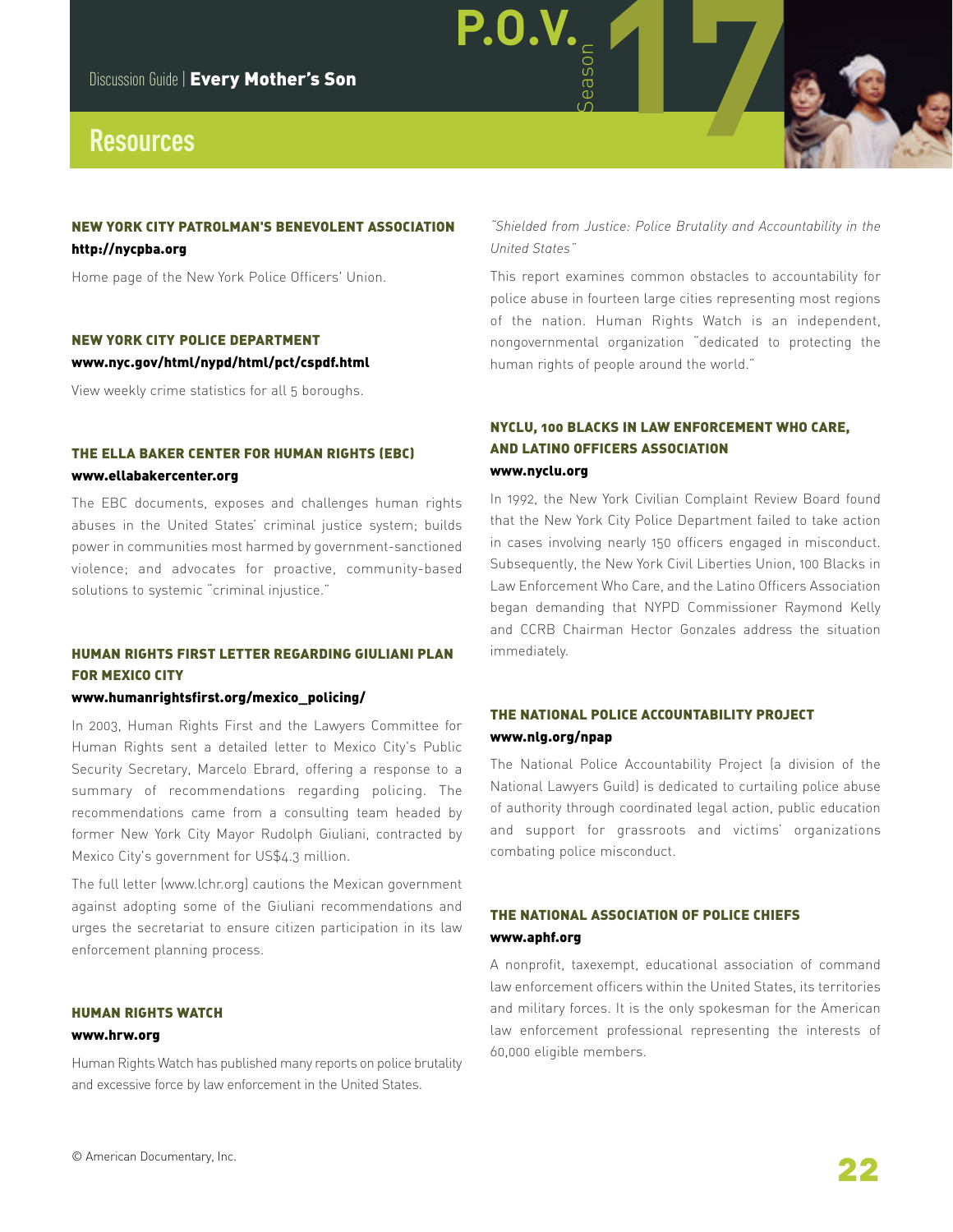## **Resources**

#### NEW YORK CITY PATROLMAN'S BENEVOLENT ASSOCIATION <http://nycpba.org>

Home page of the New York Police Officers' Union.

#### NEW YORK CITY POLICE DEPARTMENT [www.nyc.gov/html/nypd/html/pct/cspdf.html](http://www.nyc.gov/html/nypd/html/pct/cspdf.html)

View weekly crime statistics for all 5 boroughs.

#### THE ELLA BAKER CENTER FOR HUMAN RIGHTS (EBC)

#### [www.ellabakercenter.org](http://www.ellabakercenter.org)

The EBC documents, exposes and challenges human rights abuses in the United States' criminal justice system; builds power in communities most harmed by government-sanctioned violence; and advocates for proactive, community-based solutions to systemic "criminal injustice."

#### HUMAN RIGHTS FIRST LETTER REGARDING GIULIANI PLAN FOR MEXICO CITY

#### [www.humanrightsfirst.org/mexico\\_policing/](http://www.humanrightsfirst.org/mexico_policing/)

In 2003, Human Rights First and the Lawyers Committee for Human Rights sent a detailed letter to Mexico City's Public Security Secretary, Marcelo Ebrard, offering a response to a summary of recommendations regarding policing. The recommendations came from a consulting team headed by former New York City Mayor Rudolph Giuliani, contracted by Mexico City's government for US\$4.3 million.

The full letter (www.lchr.org) cautions the Mexican government against adopting some of the Giuliani recommendations and urges the secretariat to ensure citizen participation in its law enforcement planning process.

#### HUMAN RIGHTS WATCH

#### [www.hrw.org](http://www.hrw.org)

Human Rights Watch has published many reports on police brutality and excessive force by law enforcement in the United States.

*"Shielded from Justice: Police Brutality and Accountability in the United States"*

Season **17 P.O.V.**

This report examines common obstacles to accountability for police abuse in fourteen large cities representing most regions of the nation. Human Rights Watch is an independent, nongovernmental organization "dedicated to protecting the human rights of people around the world."

#### NYCLU, 100 BLACKS IN LAW ENFORCEMENT WHO CARE, AND LATINO OFFICERS ASSOCIATION [www.nyclu.org](http://www.nyclu.org)

In 1992, the New York Civilian Complaint Review Board found that the New York City Police Department failed to take action in cases involving nearly 150 officers engaged in misconduct. Subsequently, the New York Civil Liberties Union, 100 Blacks in Law Enforcement Who Care, and the Latino Officers Association began demanding that NYPD Commissioner Raymond Kelly and CCRB Chairman Hector Gonzales address the situation immediately.

#### THE NATIONAL POLICE ACCOUNTABILITY PROJECT [www.nlg.org/npap](http://www.nlg.org/npap/)

The National Police Accountability Project (a division of the National Lawyers Guild) is dedicated to curtailing police abuse of authority through coordinated legal action, public education and support for grassroots and victims' organizations combating police misconduct.

#### THE NATIONAL ASSOCIATION OF POLICE CHIEFS [www.aphf.org](http://www.aphf.org)

A nonprofit, taxexempt, educational association of command law enforcement officers within the United States, its territories and military forces. It is the only spokesman for the American law enforcement professional representing the interests of 60,000 eligible members.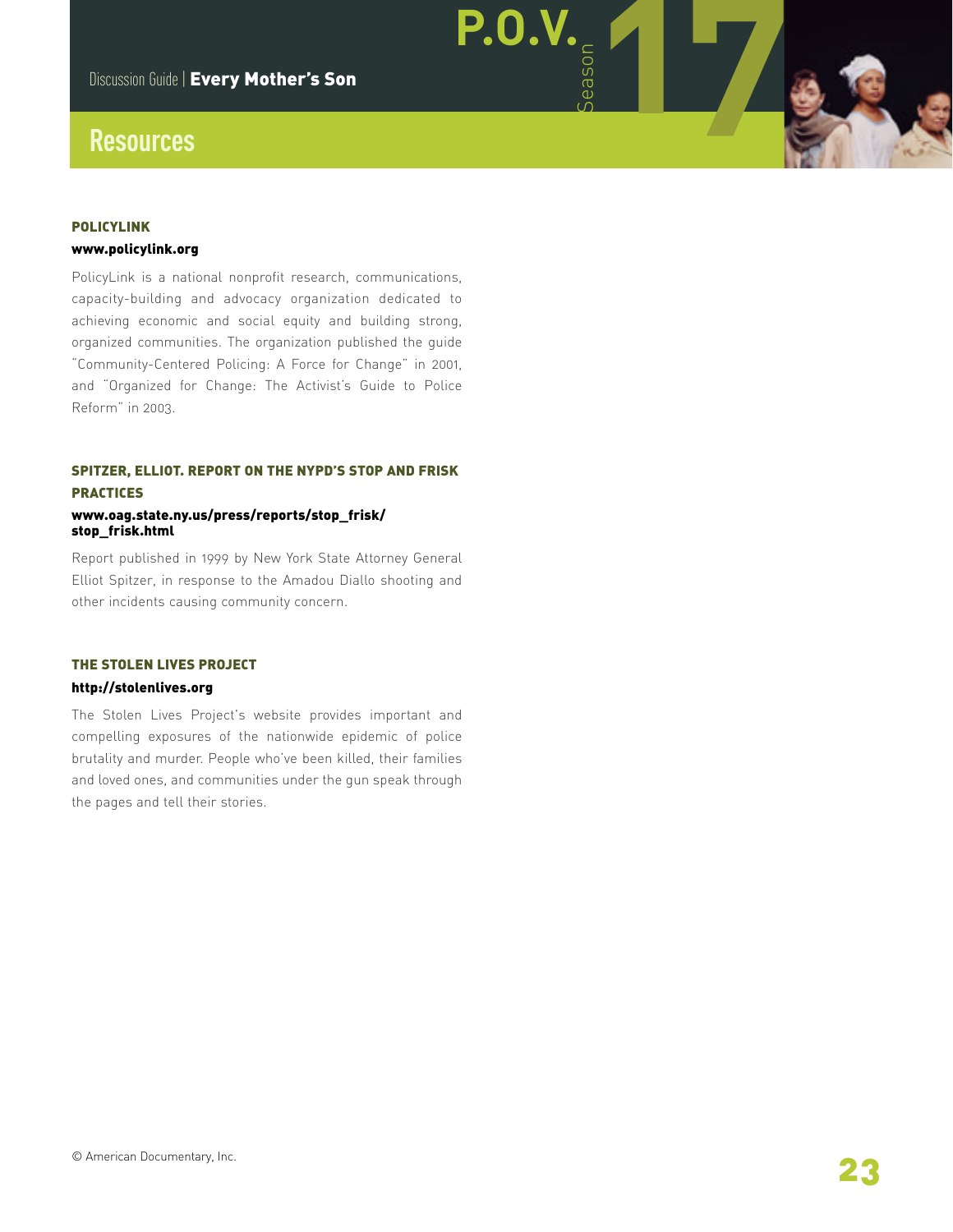Season **17 P.O.V.**

## **Resources**

#### POLICYLINK

#### [www.policylink.org](http://www.policylink.org)

PolicyLink is a national nonprofit research, communications, capacity-building and advocacy organization dedicated to achieving economic and social equity and building strong, organized communities. The organization published the guide "Community-Centered Policing: A Force for Change" in 2001, and "Organized for Change: The Activist's Guide to Police Reform" in 2003.

#### SPITZER, ELLIOT. REPORT ON THE NYPD'S STOP AND FRISK PRACTICES

#### [www.oag.state.ny.us/press/reports/stop\\_frisk/](http://www.oag.state.ny.us/press/reports/stop_frisk/stop_frisk.html) [stop\\_frisk.html](http://www.oag.state.ny.us/press/reports/stop_frisk/stop_frisk.html)

Report published in 1999 by New York State Attorney General Elliot Spitzer, in response to the Amadou Diallo shooting and other incidents causing community concern.

#### THE STOLEN LIVES PROJECT

#### [http://stolenlives.org](http://stolenlives.org/)

The Stolen Lives Project's website provides important and compelling exposures of the nationwide epidemic of police brutality and murder. People who've been killed, their families and loved ones, and communities under the gun speak through the pages and tell their stories.